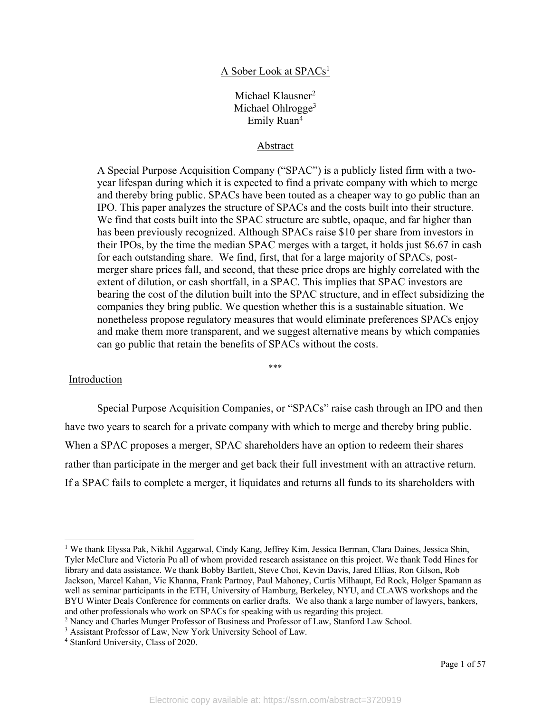### A Sober Look at SPACs1

# Michael Klausner<sup>2</sup> Michael Ohlrogge<sup>3</sup> Emily Ruan4

#### Abstract

A Special Purpose Acquisition Company ("SPAC") is a publicly listed firm with a twoyear lifespan during which it is expected to find a private company with which to merge and thereby bring public. SPACs have been touted as a cheaper way to go public than an IPO. This paper analyzes the structure of SPACs and the costs built into their structure. We find that costs built into the SPAC structure are subtle, opaque, and far higher than has been previously recognized. Although SPACs raise \$10 per share from investors in their IPOs, by the time the median SPAC merges with a target, it holds just \$6.67 in cash for each outstanding share. We find, first, that for a large majority of SPACs, postmerger share prices fall, and second, that these price drops are highly correlated with the extent of dilution, or cash shortfall, in a SPAC. This implies that SPAC investors are bearing the cost of the dilution built into the SPAC structure, and in effect subsidizing the companies they bring public. We question whether this is a sustainable situation. We nonetheless propose regulatory measures that would eliminate preferences SPACs enjoy and make them more transparent, and we suggest alternative means by which companies can go public that retain the benefits of SPACs without the costs.

#### \*\*\*

#### Introduction

Special Purpose Acquisition Companies, or "SPACs" raise cash through an IPO and then have two years to search for a private company with which to merge and thereby bring public. When a SPAC proposes a merger, SPAC shareholders have an option to redeem their shares rather than participate in the merger and get back their full investment with an attractive return. If a SPAC fails to complete a merger, it liquidates and returns all funds to its shareholders with

<sup>1</sup> We thank Elyssa Pak, Nikhil Aggarwal, Cindy Kang, Jeffrey Kim, Jessica Berman, Clara Daines, Jessica Shin, Tyler McClure and Victoria Pu all of whom provided research assistance on this project. We thank Todd Hines for library and data assistance. We thank Bobby Bartlett, Steve Choi, Kevin Davis, Jared Ellias, Ron Gilson, Rob Jackson, Marcel Kahan, Vic Khanna, Frank Partnoy, Paul Mahoney, Curtis Milhaupt, Ed Rock, Holger Spamann as well as seminar participants in the ETH, University of Hamburg, Berkeley, NYU, and CLAWS workshops and the BYU Winter Deals Conference for comments on earlier drafts. We also thank a large number of lawyers, bankers, and other professionals who work on SPACs for speaking with us regarding this project.

<sup>2</sup> Nancy and Charles Munger Professor of Business and Professor of Law, Stanford Law School.

<sup>&</sup>lt;sup>3</sup> Assistant Professor of Law, New York University School of Law.

<sup>4</sup> Stanford University, Class of 2020.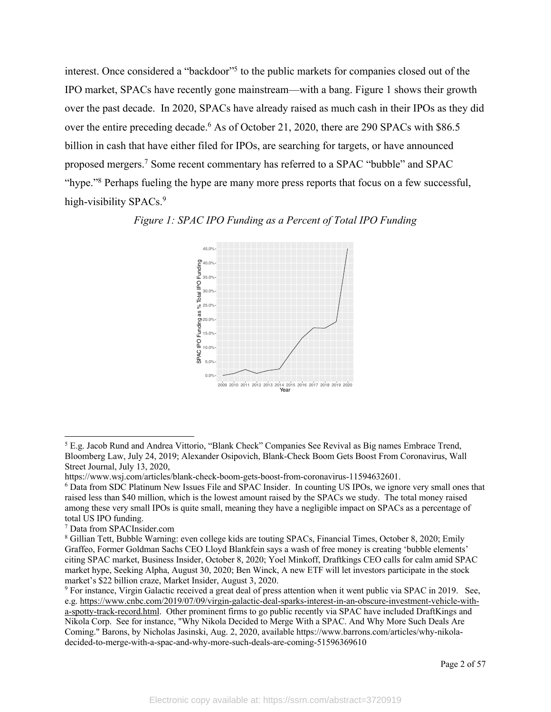interest. Once considered a "backdoor"<sup>5</sup> to the public markets for companies closed out of the IPO market, SPACs have recently gone mainstream—with a bang. Figure 1 shows their growth over the past decade. In 2020, SPACs have already raised as much cash in their IPOs as they did over the entire preceding decade.<sup>6</sup> As of October 21, 2020, there are 290 SPACs with \$86.5 billion in cash that have either filed for IPOs, are searching for targets, or have announced proposed mergers.7 Some recent commentary has referred to a SPAC "bubble" and SPAC "hype."8 Perhaps fueling the hype are many more press reports that focus on a few successful, high-visibility SPACs.<sup>9</sup>





<sup>5</sup> E.g. Jacob Rund and Andrea Vittorio, "Blank Check" Companies See Revival as Big names Embrace Trend, Bloomberg Law, July 24, 2019; Alexander Osipovich, Blank-Check Boom Gets Boost From Coronavirus, Wall Street Journal, July 13, 2020,

https://www.wsj.com/articles/blank-check-boom-gets-boost-from-coronavirus-11594632601.

<sup>6</sup> Data from SDC Platinum New Issues File and SPAC Insider. In counting US IPOs, we ignore very small ones that raised less than \$40 million, which is the lowest amount raised by the SPACs we study. The total money raised among these very small IPOs is quite small, meaning they have a negligible impact on SPACs as a percentage of total US IPO funding.

<sup>7</sup> Data from SPACInsider.com

<sup>8</sup> Gillian Tett, Bubble Warning: even college kids are touting SPACs, Financial Times, October 8, 2020; Emily Graffeo, Former Goldman Sachs CEO Lloyd Blankfein says a wash of free money is creating 'bubble elements' citing SPAC market, Business Insider, October 8, 2020; Yoel Minkoff, Draftkings CEO calls for calm amid SPAC market hype, Seeking Alpha, August 30, 2020; Ben Winck, A new ETF will let investors participate in the stock market's \$22 billion craze, Market Insider, August 3, 2020.

<sup>9</sup> For instance, Virgin Galactic received a great deal of press attention when it went public via SPAC in 2019. See, e.g. https://www.cnbc.com/2019/07/09/virgin-galactic-deal-sparks-interest-in-an-obscure-investment-vehicle-witha-spotty-track-record.html. Other prominent firms to go public recently via SPAC have included DraftKings and Nikola Corp. See for instance, "Why Nikola Decided to Merge With a SPAC. And Why More Such Deals Are Coming." Barons, by Nicholas Jasinski, Aug. 2, 2020, available https://www.barrons.com/articles/why-nikoladecided-to-merge-with-a-spac-and-why-more-such-deals-are-coming-51596369610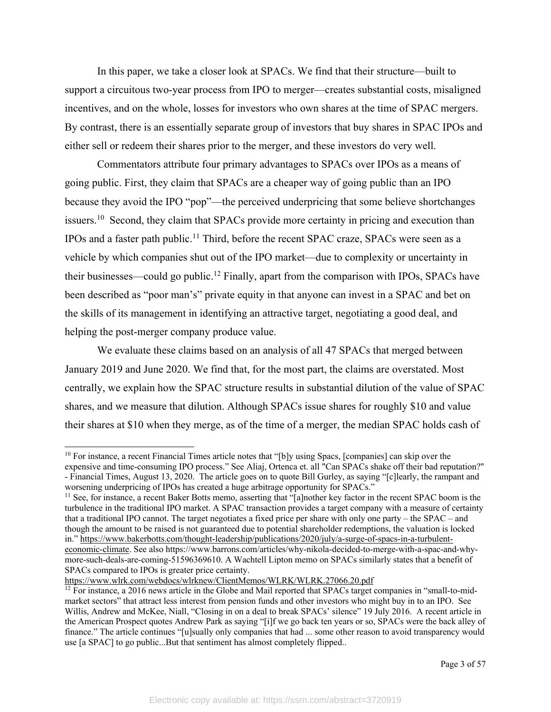In this paper, we take a closer look at SPACs. We find that their structure—built to support a circuitous two-year process from IPO to merger—creates substantial costs, misaligned incentives, and on the whole, losses for investors who own shares at the time of SPAC mergers. By contrast, there is an essentially separate group of investors that buy shares in SPAC IPOs and either sell or redeem their shares prior to the merger, and these investors do very well.

Commentators attribute four primary advantages to SPACs over IPOs as a means of going public. First, they claim that SPACs are a cheaper way of going public than an IPO because they avoid the IPO "pop"—the perceived underpricing that some believe shortchanges issuers.<sup>10</sup> Second, they claim that SPACs provide more certainty in pricing and execution than IPOs and a faster path public. <sup>11</sup> Third, before the recent SPAC craze, SPACs were seen as a vehicle by which companies shut out of the IPO market—due to complexity or uncertainty in their businesses—could go public.<sup>12</sup> Finally, apart from the comparison with IPOs, SPACs have been described as "poor man's" private equity in that anyone can invest in a SPAC and bet on the skills of its management in identifying an attractive target, negotiating a good deal, and helping the post-merger company produce value.

We evaluate these claims based on an analysis of all 47 SPACs that merged between January 2019 and June 2020. We find that, for the most part, the claims are overstated. Most centrally, we explain how the SPAC structure results in substantial dilution of the value of SPAC shares, and we measure that dilution. Although SPACs issue shares for roughly \$10 and value their shares at \$10 when they merge, as of the time of a merger, the median SPAC holds cash of

https://www.wlrk.com/webdocs/wlrknew/ClientMemos/WLRK/WLRK.27066.20.pdf

<sup>&</sup>lt;sup>10</sup> For instance, a recent Financial Times article notes that "[b]y using Spacs, [companies] can skip over the expensive and time-consuming IPO process." See Aliaj, Ortenca et. all "Can SPACs shake off their bad reputation?" - Financial Times, August 13, 2020. The article goes on to quote Bill Gurley, as saying "[c]learly, the rampant and worsening underpricing of IPOs has created a huge arbitrage opportunity for SPACs."

<sup>&</sup>lt;sup>11</sup> See, for instance, a recent Baker Botts memo, asserting that "[a]nother key factor in the recent SPAC boom is the turbulence in the traditional IPO market. A SPAC transaction provides a target company with a measure of certainty that a traditional IPO cannot. The target negotiates a fixed price per share with only one party – the SPAC – and though the amount to be raised is not guaranteed due to potential shareholder redemptions, the valuation is locked in." https://www.bakerbotts.com/thought-leadership/publications/2020/july/a-surge-of-spacs-in-a-turbulenteconomic-climate. See also https://www.barrons.com/articles/why-nikola-decided-to-merge-with-a-spac-and-whymore-such-deals-are-coming-51596369610. A Wachtell Lipton memo on SPACs similarly states that a benefit of SPACs compared to IPOs is greater price certainty.

 $12$  For instance, a 2016 news article in the Globe and Mail reported that SPACs target companies in "small-to-midmarket sectors" that attract less interest from pension funds and other investors who might buy in to an IPO. See Willis, Andrew and McKee, Niall, "Closing in on a deal to break SPACs' silence" 19 July 2016. A recent article in the American Prospect quotes Andrew Park as saying "[i]f we go back ten years or so, SPACs were the back alley of finance." The article continues "[u]sually only companies that had ... some other reason to avoid transparency would use [a SPAC] to go public...But that sentiment has almost completely flipped..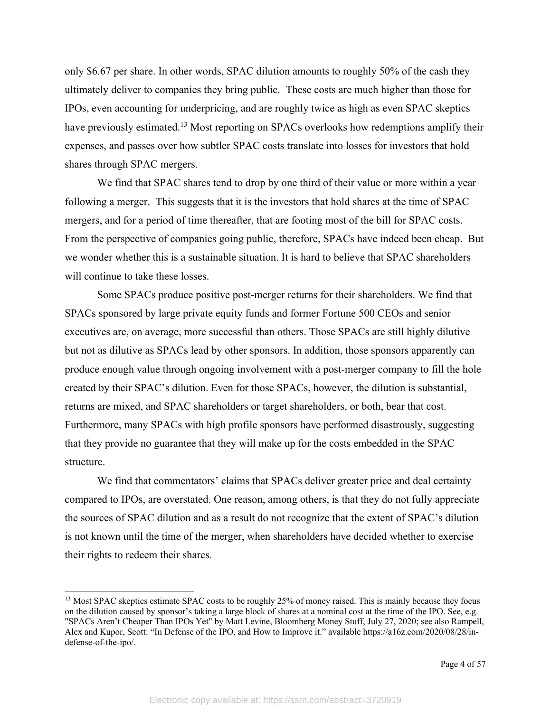only \$6.67 per share. In other words, SPAC dilution amounts to roughly 50% of the cash they ultimately deliver to companies they bring public. These costs are much higher than those for IPOs, even accounting for underpricing, and are roughly twice as high as even SPAC skeptics have previously estimated.<sup>13</sup> Most reporting on SPACs overlooks how redemptions amplify their expenses, and passes over how subtler SPAC costs translate into losses for investors that hold shares through SPAC mergers.

We find that SPAC shares tend to drop by one third of their value or more within a year following a merger. This suggests that it is the investors that hold shares at the time of SPAC mergers, and for a period of time thereafter, that are footing most of the bill for SPAC costs. From the perspective of companies going public, therefore, SPACs have indeed been cheap. But we wonder whether this is a sustainable situation. It is hard to believe that SPAC shareholders will continue to take these losses.

Some SPACs produce positive post-merger returns for their shareholders. We find that SPACs sponsored by large private equity funds and former Fortune 500 CEOs and senior executives are, on average, more successful than others. Those SPACs are still highly dilutive but not as dilutive as SPACs lead by other sponsors. In addition, those sponsors apparently can produce enough value through ongoing involvement with a post-merger company to fill the hole created by their SPAC's dilution. Even for those SPACs, however, the dilution is substantial, returns are mixed, and SPAC shareholders or target shareholders, or both, bear that cost. Furthermore, many SPACs with high profile sponsors have performed disastrously, suggesting that they provide no guarantee that they will make up for the costs embedded in the SPAC structure.

We find that commentators' claims that SPACs deliver greater price and deal certainty compared to IPOs, are overstated. One reason, among others, is that they do not fully appreciate the sources of SPAC dilution and as a result do not recognize that the extent of SPAC's dilution is not known until the time of the merger, when shareholders have decided whether to exercise their rights to redeem their shares.

<sup>&</sup>lt;sup>13</sup> Most SPAC skeptics estimate SPAC costs to be roughly 25% of money raised. This is mainly because they focus on the dilution caused by sponsor's taking a large block of shares at a nominal cost at the time of the IPO. See, e.g. "SPACs Aren't Cheaper Than IPOs Yet" by Matt Levine, Bloomberg Money Stuff, July 27, 2020; see also Rampell, Alex and Kupor, Scott: "In Defense of the IPO, and How to Improve it." available https://a16z.com/2020/08/28/indefense-of-the-ipo/.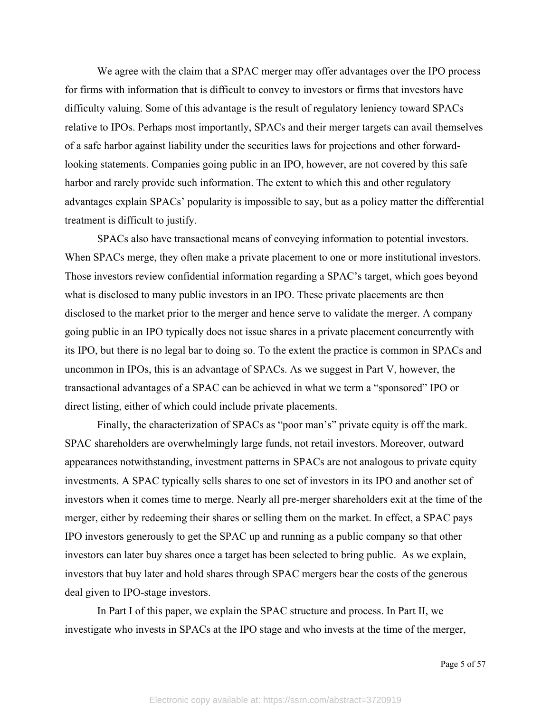We agree with the claim that a SPAC merger may offer advantages over the IPO process for firms with information that is difficult to convey to investors or firms that investors have difficulty valuing. Some of this advantage is the result of regulatory leniency toward SPACs relative to IPOs. Perhaps most importantly, SPACs and their merger targets can avail themselves of a safe harbor against liability under the securities laws for projections and other forwardlooking statements. Companies going public in an IPO, however, are not covered by this safe harbor and rarely provide such information. The extent to which this and other regulatory advantages explain SPACs' popularity is impossible to say, but as a policy matter the differential treatment is difficult to justify.

SPACs also have transactional means of conveying information to potential investors. When SPACs merge, they often make a private placement to one or more institutional investors. Those investors review confidential information regarding a SPAC's target, which goes beyond what is disclosed to many public investors in an IPO. These private placements are then disclosed to the market prior to the merger and hence serve to validate the merger. A company going public in an IPO typically does not issue shares in a private placement concurrently with its IPO, but there is no legal bar to doing so. To the extent the practice is common in SPACs and uncommon in IPOs, this is an advantage of SPACs. As we suggest in Part V, however, the transactional advantages of a SPAC can be achieved in what we term a "sponsored" IPO or direct listing, either of which could include private placements.

Finally, the characterization of SPACs as "poor man's" private equity is off the mark. SPAC shareholders are overwhelmingly large funds, not retail investors. Moreover, outward appearances notwithstanding, investment patterns in SPACs are not analogous to private equity investments. A SPAC typically sells shares to one set of investors in its IPO and another set of investors when it comes time to merge. Nearly all pre-merger shareholders exit at the time of the merger, either by redeeming their shares or selling them on the market. In effect, a SPAC pays IPO investors generously to get the SPAC up and running as a public company so that other investors can later buy shares once a target has been selected to bring public. As we explain, investors that buy later and hold shares through SPAC mergers bear the costs of the generous deal given to IPO-stage investors.

In Part I of this paper, we explain the SPAC structure and process. In Part II, we investigate who invests in SPACs at the IPO stage and who invests at the time of the merger,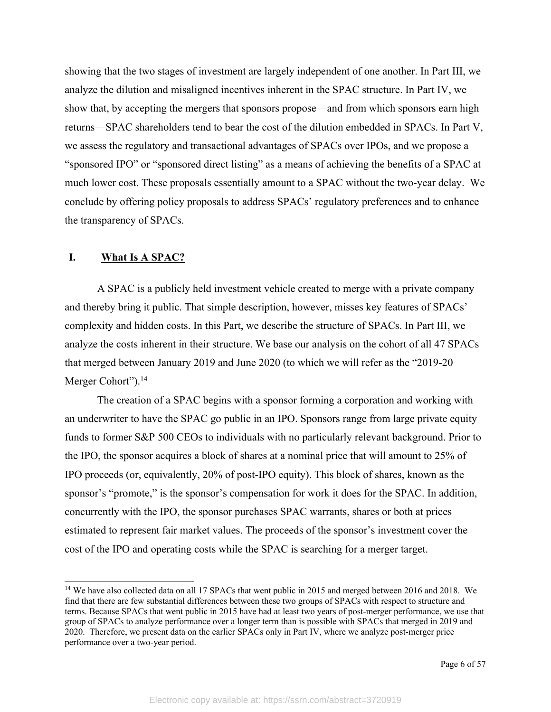showing that the two stages of investment are largely independent of one another. In Part III, we analyze the dilution and misaligned incentives inherent in the SPAC structure. In Part IV, we show that, by accepting the mergers that sponsors propose—and from which sponsors earn high returns—SPAC shareholders tend to bear the cost of the dilution embedded in SPACs. In Part V, we assess the regulatory and transactional advantages of SPACs over IPOs, and we propose a "sponsored IPO" or "sponsored direct listing" as a means of achieving the benefits of a SPAC at much lower cost. These proposals essentially amount to a SPAC without the two-year delay. We conclude by offering policy proposals to address SPACs' regulatory preferences and to enhance the transparency of SPACs.

### **I. What Is A SPAC?**

A SPAC is a publicly held investment vehicle created to merge with a private company and thereby bring it public. That simple description, however, misses key features of SPACs' complexity and hidden costs. In this Part, we describe the structure of SPACs. In Part III, we analyze the costs inherent in their structure. We base our analysis on the cohort of all 47 SPACs that merged between January 2019 and June 2020 (to which we will refer as the "2019-20 Merger Cohort").<sup>14</sup>

The creation of a SPAC begins with a sponsor forming a corporation and working with an underwriter to have the SPAC go public in an IPO. Sponsors range from large private equity funds to former S&P 500 CEOs to individuals with no particularly relevant background. Prior to the IPO, the sponsor acquires a block of shares at a nominal price that will amount to 25% of IPO proceeds (or, equivalently, 20% of post-IPO equity). This block of shares, known as the sponsor's "promote," is the sponsor's compensation for work it does for the SPAC. In addition, concurrently with the IPO, the sponsor purchases SPAC warrants, shares or both at prices estimated to represent fair market values. The proceeds of the sponsor's investment cover the cost of the IPO and operating costs while the SPAC is searching for a merger target.

<sup>&</sup>lt;sup>14</sup> We have also collected data on all 17 SPACs that went public in 2015 and merged between 2016 and 2018. We find that there are few substantial differences between these two groups of SPACs with respect to structure and terms. Because SPACs that went public in 2015 have had at least two years of post-merger performance, we use that group of SPACs to analyze performance over a longer term than is possible with SPACs that merged in 2019 and 2020. Therefore, we present data on the earlier SPACs only in Part IV, where we analyze post-merger price performance over a two-year period.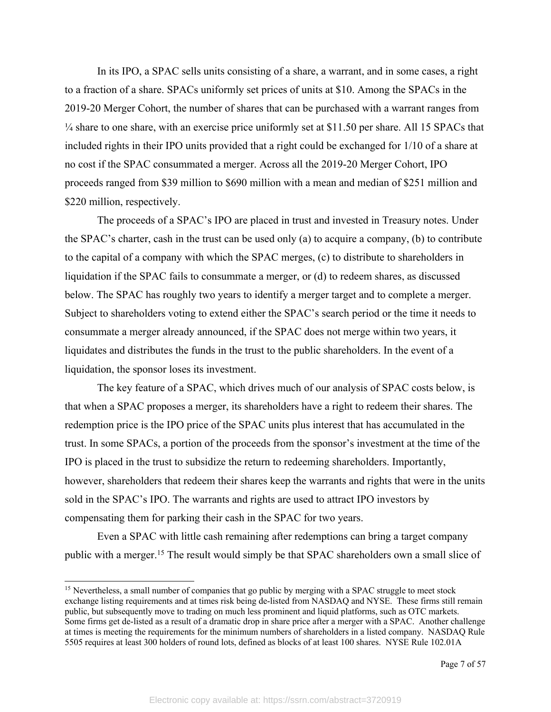In its IPO, a SPAC sells units consisting of a share, a warrant, and in some cases, a right to a fraction of a share. SPACs uniformly set prices of units at \$10. Among the SPACs in the 2019-20 Merger Cohort, the number of shares that can be purchased with a warrant ranges from ¼ share to one share, with an exercise price uniformly set at \$11.50 per share. All 15 SPACs that included rights in their IPO units provided that a right could be exchanged for 1/10 of a share at no cost if the SPAC consummated a merger. Across all the 2019-20 Merger Cohort, IPO proceeds ranged from \$39 million to \$690 million with a mean and median of \$251 million and \$220 million, respectively.

The proceeds of a SPAC's IPO are placed in trust and invested in Treasury notes. Under the SPAC's charter, cash in the trust can be used only (a) to acquire a company, (b) to contribute to the capital of a company with which the SPAC merges, (c) to distribute to shareholders in liquidation if the SPAC fails to consummate a merger, or (d) to redeem shares, as discussed below. The SPAC has roughly two years to identify a merger target and to complete a merger. Subject to shareholders voting to extend either the SPAC's search period or the time it needs to consummate a merger already announced, if the SPAC does not merge within two years, it liquidates and distributes the funds in the trust to the public shareholders. In the event of a liquidation, the sponsor loses its investment.

The key feature of a SPAC, which drives much of our analysis of SPAC costs below, is that when a SPAC proposes a merger, its shareholders have a right to redeem their shares. The redemption price is the IPO price of the SPAC units plus interest that has accumulated in the trust. In some SPACs, a portion of the proceeds from the sponsor's investment at the time of the IPO is placed in the trust to subsidize the return to redeeming shareholders. Importantly, however, shareholders that redeem their shares keep the warrants and rights that were in the units sold in the SPAC's IPO. The warrants and rights are used to attract IPO investors by compensating them for parking their cash in the SPAC for two years.

Even a SPAC with little cash remaining after redemptions can bring a target company public with a merger.<sup>15</sup> The result would simply be that SPAC shareholders own a small slice of

 $15$  Nevertheless, a small number of companies that go public by merging with a SPAC struggle to meet stock exchange listing requirements and at times risk being de-listed from NASDAQ and NYSE. These firms still remain public, but subsequently move to trading on much less prominent and liquid platforms, such as OTC markets. Some firms get de-listed as a result of a dramatic drop in share price after a merger with a SPAC. Another challenge at times is meeting the requirements for the minimum numbers of shareholders in a listed company. NASDAQ Rule 5505 requires at least 300 holders of round lots, defined as blocks of at least 100 shares. NYSE Rule 102.01A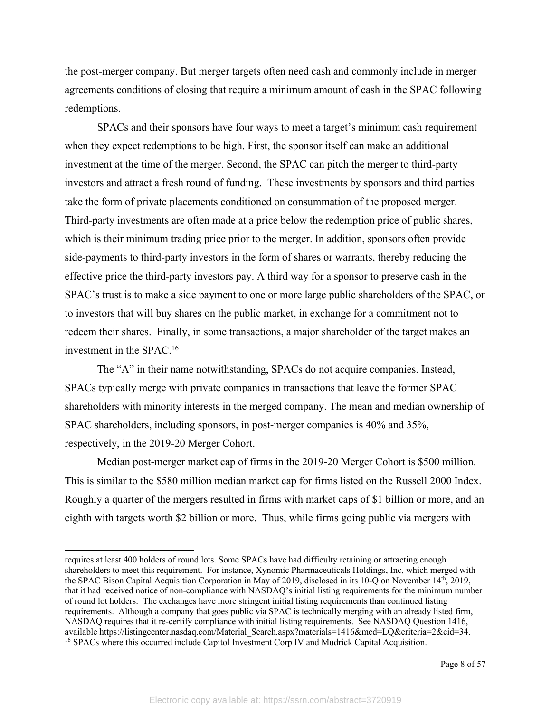the post-merger company. But merger targets often need cash and commonly include in merger agreements conditions of closing that require a minimum amount of cash in the SPAC following redemptions.

SPACs and their sponsors have four ways to meet a target's minimum cash requirement when they expect redemptions to be high. First, the sponsor itself can make an additional investment at the time of the merger. Second, the SPAC can pitch the merger to third-party investors and attract a fresh round of funding. These investments by sponsors and third parties take the form of private placements conditioned on consummation of the proposed merger. Third-party investments are often made at a price below the redemption price of public shares, which is their minimum trading price prior to the merger. In addition, sponsors often provide side-payments to third-party investors in the form of shares or warrants, thereby reducing the effective price the third-party investors pay. A third way for a sponsor to preserve cash in the SPAC's trust is to make a side payment to one or more large public shareholders of the SPAC, or to investors that will buy shares on the public market, in exchange for a commitment not to redeem their shares. Finally, in some transactions, a major shareholder of the target makes an investment in the SPAC.16

The "A" in their name notwithstanding, SPACs do not acquire companies. Instead, SPACs typically merge with private companies in transactions that leave the former SPAC shareholders with minority interests in the merged company. The mean and median ownership of SPAC shareholders, including sponsors, in post-merger companies is 40% and 35%, respectively, in the 2019-20 Merger Cohort.

Median post-merger market cap of firms in the 2019-20 Merger Cohort is \$500 million. This is similar to the \$580 million median market cap for firms listed on the Russell 2000 Index. Roughly a quarter of the mergers resulted in firms with market caps of \$1 billion or more, and an eighth with targets worth \$2 billion or more. Thus, while firms going public via mergers with

requires at least 400 holders of round lots. Some SPACs have had difficulty retaining or attracting enough shareholders to meet this requirement. For instance, Xynomic Pharmaceuticals Holdings, Inc, which merged with the SPAC Bison Capital Acquisition Corporation in May of 2019, disclosed in its 10-Q on November 14th, 2019, that it had received notice of non-compliance with NASDAQ's initial listing requirements for the minimum number of round lot holders. The exchanges have more stringent initial listing requirements than continued listing requirements. Although a company that goes public via SPAC is technically merging with an already listed firm, NASDAQ requires that it re-certify compliance with initial listing requirements. See NASDAQ Question 1416, available https://listingcenter.nasdaq.com/Material\_Search.aspx?materials=1416&mcd=LQ&criteria=2&cid=34. <sup>16</sup> SPACs where this occurred include Capitol Investment Corp IV and Mudrick Capital Acquisition.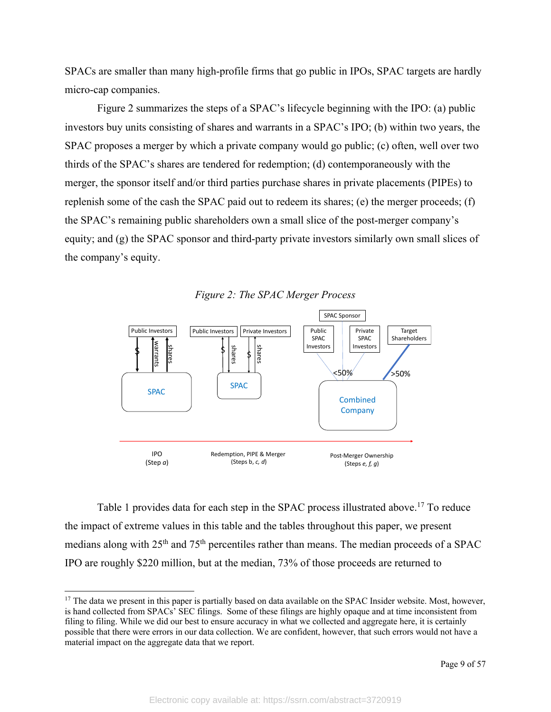SPACs are smaller than many high-profile firms that go public in IPOs, SPAC targets are hardly micro-cap companies.

Figure 2 summarizes the steps of a SPAC's lifecycle beginning with the IPO: (a) public investors buy units consisting of shares and warrants in a SPAC's IPO; (b) within two years, the SPAC proposes a merger by which a private company would go public; (c) often, well over two thirds of the SPAC's shares are tendered for redemption; (d) contemporaneously with the merger, the sponsor itself and/or third parties purchase shares in private placements (PIPEs) to replenish some of the cash the SPAC paid out to redeem its shares; (e) the merger proceeds; (f) the SPAC's remaining public shareholders own a small slice of the post-merger company's equity; and (g) the SPAC sponsor and third-party private investors similarly own small slices of the company's equity.



*Figure 2: The SPAC Merger Process*

Table 1 provides data for each step in the SPAC process illustrated above.<sup>17</sup> To reduce the impact of extreme values in this table and the tables throughout this paper, we present medians along with 25<sup>th</sup> and 75<sup>th</sup> percentiles rather than means. The median proceeds of a SPAC IPO are roughly \$220 million, but at the median, 73% of those proceeds are returned to

<sup>&</sup>lt;sup>17</sup> The data we present in this paper is partially based on data available on the SPAC Insider website. Most, however, is hand collected from SPACs' SEC filings. Some of these filings are highly opaque and at time inconsistent from filing to filing. While we did our best to ensure accuracy in what we collected and aggregate here, it is certainly possible that there were errors in our data collection. We are confident, however, that such errors would not have a material impact on the aggregate data that we report.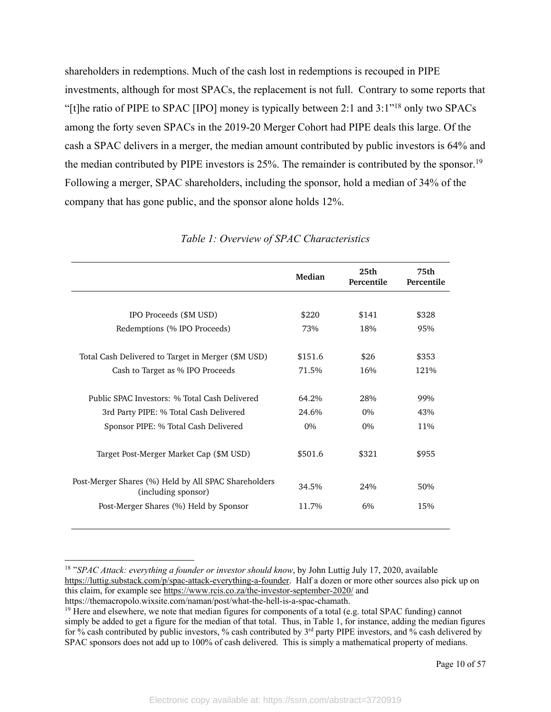shareholders in redemptions. Much of the cash lost in redemptions is recouped in PIPE investments, although for most SPACs, the replacement is not full. Contrary to some reports that "[t]he ratio of PIPE to SPAC [IPO] money is typically between 2:1 and 3:1"18 only two SPACs among the forty seven SPACs in the 2019-20 Merger Cohort had PIPE deals this large. Of the cash a SPAC delivers in a merger, the median amount contributed by public investors is 64% and the median contributed by PIPE investors is 25%. The remainder is contributed by the sponsor.<sup>19</sup> Following a merger, SPAC shareholders, including the sponsor, hold a median of 34% of the company that has gone public, and the sponsor alone holds 12%.

|                                                                             | Median  | 25 <sub>th</sub><br>Percentile | 75th<br>Percentile |  |
|-----------------------------------------------------------------------------|---------|--------------------------------|--------------------|--|
|                                                                             |         |                                |                    |  |
| IPO Proceeds (\$M USD)                                                      | \$220   | \$141                          | \$328              |  |
| Redemptions (% IPO Proceeds)                                                | 73%     | 18%                            | 95%                |  |
| Total Cash Delivered to Target in Merger (\$M USD)                          | \$151.6 | \$26                           | \$353              |  |
| Cash to Target as % IPO Proceeds                                            | 71.5%   | 16%                            | 121%               |  |
| Public SPAC Investors: % Total Cash Delivered                               | 64.2%   | 28%                            | 99%                |  |
| 3rd Party PIPE: % Total Cash Delivered                                      | 24.6%   | $0\%$                          | 43%                |  |
| Sponsor PIPE: % Total Cash Delivered                                        | $0\%$   | $0\%$                          | 11%                |  |
| Target Post-Merger Market Cap (\$M USD)                                     | \$501.6 | \$321                          | \$955              |  |
| Post-Merger Shares (%) Held by All SPAC Shareholders<br>(including sponsor) | 34.5%   | 24%                            | 50%                |  |
| Post-Merger Shares (%) Held by Sponsor                                      | 11.7%   | 6%                             | 15%                |  |

#### *Table 1: Overview of SPAC Characteristics*

<sup>18</sup> "*SPAC Attack: everything a founder or investor should know*, by John Luttig July 17, 2020, available https://luttig.substack.com/p/spac-attack-everything-a-founder. Half a dozen or more other sources also pick up on this claim, for example see https://www.rcis.co.za/the-investor-september-2020/ and https://themacropolo.wixsite.com/naman/post/what-the-hell-is-a-spac-chamath.

<sup>&</sup>lt;sup>19</sup> Here and elsewhere, we note that median figures for components of a total (e.g. total SPAC funding) cannot simply be added to get a figure for the median of that total. Thus, in Table 1, for instance, adding the median figures for % cash contributed by public investors, % cash contributed by 3rd party PIPE investors, and % cash delivered by SPAC sponsors does not add up to 100% of cash delivered. This is simply a mathematical property of medians.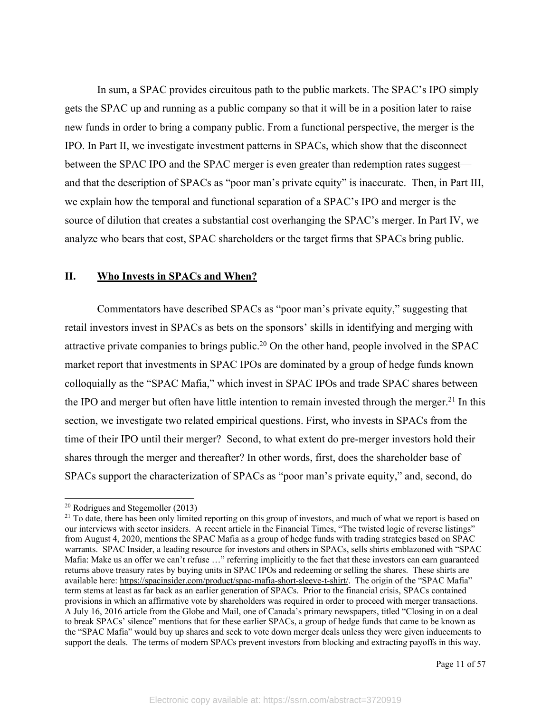In sum, a SPAC provides circuitous path to the public markets. The SPAC's IPO simply gets the SPAC up and running as a public company so that it will be in a position later to raise new funds in order to bring a company public. From a functional perspective, the merger is the IPO. In Part II, we investigate investment patterns in SPACs, which show that the disconnect between the SPAC IPO and the SPAC merger is even greater than redemption rates suggest and that the description of SPACs as "poor man's private equity" is inaccurate. Then, in Part III, we explain how the temporal and functional separation of a SPAC's IPO and merger is the source of dilution that creates a substantial cost overhanging the SPAC's merger. In Part IV, we analyze who bears that cost, SPAC shareholders or the target firms that SPACs bring public.

#### **II. Who Invests in SPACs and When?**

Commentators have described SPACs as "poor man's private equity," suggesting that retail investors invest in SPACs as bets on the sponsors' skills in identifying and merging with attractive private companies to brings public.20 On the other hand, people involved in the SPAC market report that investments in SPAC IPOs are dominated by a group of hedge funds known colloquially as the "SPAC Mafia," which invest in SPAC IPOs and trade SPAC shares between the IPO and merger but often have little intention to remain invested through the merger.<sup>21</sup> In this section, we investigate two related empirical questions. First, who invests in SPACs from the time of their IPO until their merger? Second, to what extent do pre-merger investors hold their shares through the merger and thereafter? In other words, first, does the shareholder base of SPACs support the characterization of SPACs as "poor man's private equity," and, second, do

<sup>20</sup> Rodrigues and Stegemoller (2013)

<sup>&</sup>lt;sup>21</sup> To date, there has been only limited reporting on this group of investors, and much of what we report is based on our interviews with sector insiders. A recent article in the Financial Times, "The twisted logic of reverse listings" from August 4, 2020, mentions the SPAC Mafia as a group of hedge funds with trading strategies based on SPAC warrants. SPAC Insider, a leading resource for investors and others in SPACs, sells shirts emblazoned with "SPAC Mafia: Make us an offer we can't refuse …" referring implicitly to the fact that these investors can earn guaranteed returns above treasury rates by buying units in SPAC IPOs and redeeming or selling the shares. These shirts are available here: https://spacinsider.com/product/spac-mafia-short-sleeve-t-shirt/. The origin of the "SPAC Mafia" term stems at least as far back as an earlier generation of SPACs. Prior to the financial crisis, SPACs contained provisions in which an affirmative vote by shareholders was required in order to proceed with merger transactions. A July 16, 2016 article from the Globe and Mail, one of Canada's primary newspapers, titled "Closing in on a deal to break SPACs' silence" mentions that for these earlier SPACs, a group of hedge funds that came to be known as the "SPAC Mafia" would buy up shares and seek to vote down merger deals unless they were given inducements to support the deals. The terms of modern SPACs prevent investors from blocking and extracting payoffs in this way.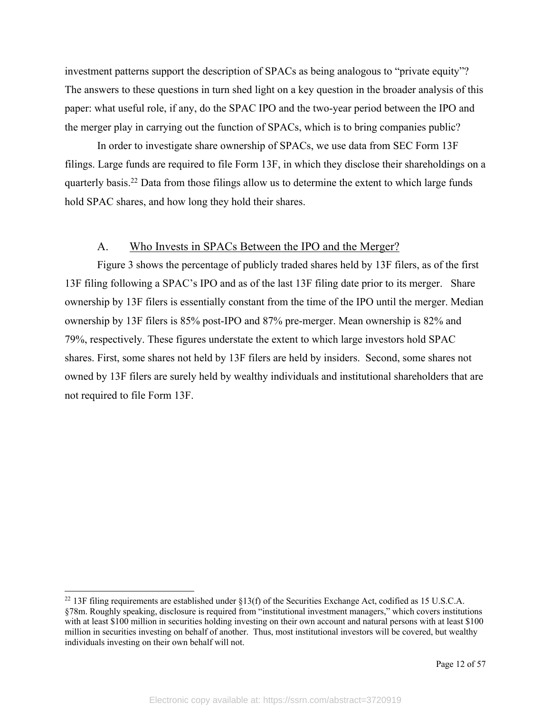investment patterns support the description of SPACs as being analogous to "private equity"? The answers to these questions in turn shed light on a key question in the broader analysis of this paper: what useful role, if any, do the SPAC IPO and the two-year period between the IPO and the merger play in carrying out the function of SPACs, which is to bring companies public?

In order to investigate share ownership of SPACs, we use data from SEC Form 13F filings. Large funds are required to file Form 13F, in which they disclose their shareholdings on a quarterly basis.22 Data from those filings allow us to determine the extent to which large funds hold SPAC shares, and how long they hold their shares.

### A. Who Invests in SPACs Between the IPO and the Merger?

Figure 3 shows the percentage of publicly traded shares held by 13F filers, as of the first 13F filing following a SPAC's IPO and as of the last 13F filing date prior to its merger. Share ownership by 13F filers is essentially constant from the time of the IPO until the merger. Median ownership by 13F filers is 85% post-IPO and 87% pre-merger. Mean ownership is 82% and 79%, respectively. These figures understate the extent to which large investors hold SPAC shares. First, some shares not held by 13F filers are held by insiders. Second, some shares not owned by 13F filers are surely held by wealthy individuals and institutional shareholders that are not required to file Form 13F.

<sup>&</sup>lt;sup>22</sup> 13F filing requirements are established under  $\S13(f)$  of the Securities Exchange Act, codified as 15 U.S.C.A. §78m. Roughly speaking, disclosure is required from "institutional investment managers," which covers institutions with at least \$100 million in securities holding investing on their own account and natural persons with at least \$100 million in securities investing on behalf of another. Thus, most institutional investors will be covered, but wealthy individuals investing on their own behalf will not.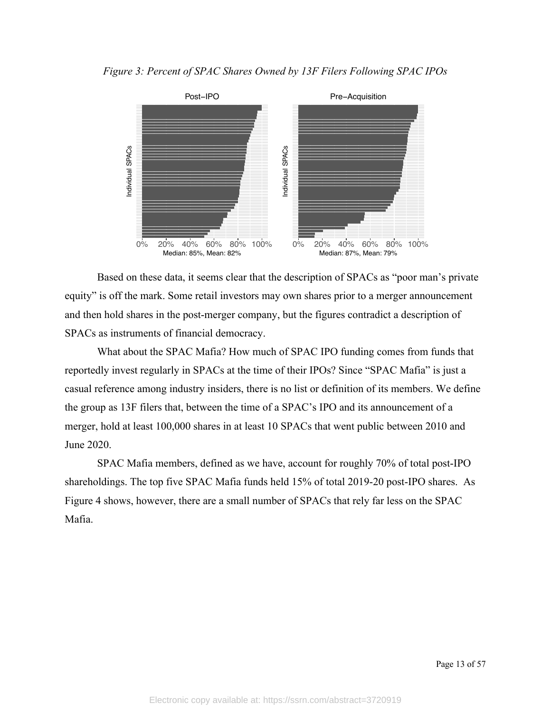*Figure 3: Percent of SPAC Shares Owned by 13F Filers Following SPAC IPOs*



Based on these data, it seems clear that the description of SPACs as "poor man's private equity" is off the mark. Some retail investors may own shares prior to a merger announcement and then hold shares in the post-merger company, but the figures contradict a description of SPACs as instruments of financial democracy.

What about the SPAC Mafia? How much of SPAC IPO funding comes from funds that reportedly invest regularly in SPACs at the time of their IPOs? Since "SPAC Mafia" is just a casual reference among industry insiders, there is no list or definition of its members. We define the group as 13F filers that, between the time of a SPAC's IPO and its announcement of a merger, hold at least 100,000 shares in at least 10 SPACs that went public between 2010 and June 2020.

SPAC Mafia members, defined as we have, account for roughly 70% of total post-IPO shareholdings. The top five SPAC Mafia funds held 15% of total 2019-20 post-IPO shares. As Figure 4 shows, however, there are a small number of SPACs that rely far less on the SPAC Mafia.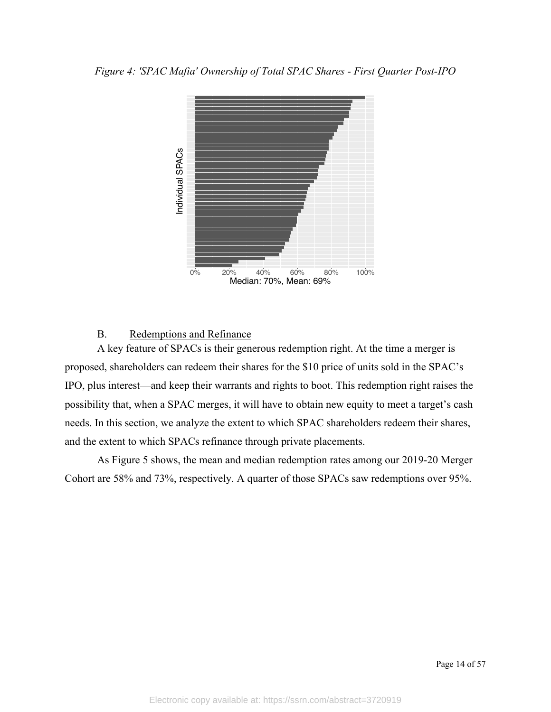

#### B. Redemptions and Refinance

A key feature of SPACs is their generous redemption right. At the time a merger is proposed, shareholders can redeem their shares for the \$10 price of units sold in the SPAC's IPO, plus interest—and keep their warrants and rights to boot. This redemption right raises the possibility that, when a SPAC merges, it will have to obtain new equity to meet a target's cash needs. In this section, we analyze the extent to which SPAC shareholders redeem their shares, and the extent to which SPACs refinance through private placements.

As Figure 5 shows, the mean and median redemption rates among our 2019-20 Merger Cohort are 58% and 73%, respectively. A quarter of those SPACs saw redemptions over 95%.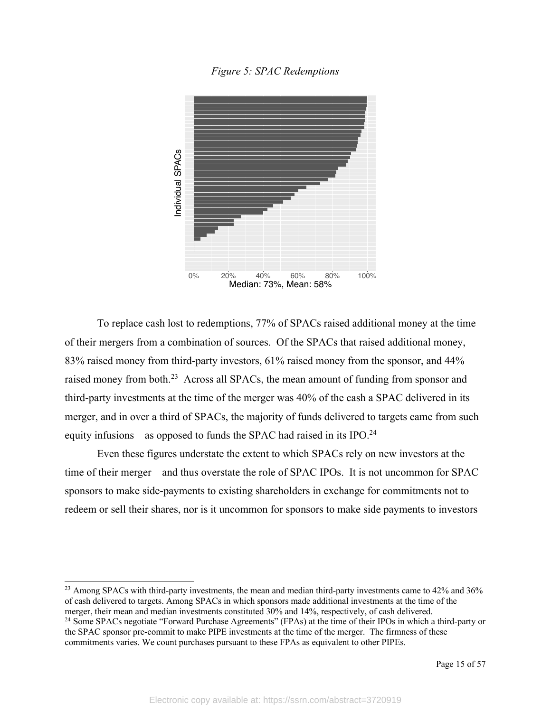*Figure 5: SPAC Redemptions*



To replace cash lost to redemptions, 77% of SPACs raised additional money at the time of their mergers from a combination of sources. Of the SPACs that raised additional money, 83% raised money from third-party investors, 61% raised money from the sponsor, and 44% raised money from both.<sup>23</sup> Across all SPACs, the mean amount of funding from sponsor and third-party investments at the time of the merger was 40% of the cash a SPAC delivered in its merger, and in over a third of SPACs, the majority of funds delivered to targets came from such equity infusions—as opposed to funds the SPAC had raised in its IPO.<sup>24</sup>

Even these figures understate the extent to which SPACs rely on new investors at the time of their merger—and thus overstate the role of SPAC IPOs. It is not uncommon for SPAC sponsors to make side-payments to existing shareholders in exchange for commitments not to redeem or sell their shares, nor is it uncommon for sponsors to make side payments to investors

<sup>23</sup> Among SPACs with third-party investments, the mean and median third-party investments came to 42% and 36% of cash delivered to targets. Among SPACs in which sponsors made additional investments at the time of the merger, their mean and median investments constituted 30% and 14%, respectively, of cash delivered.

<sup>24</sup> Some SPACs negotiate "Forward Purchase Agreements" (FPAs) at the time of their IPOs in which a third-party or the SPAC sponsor pre-commit to make PIPE investments at the time of the merger. The firmness of these commitments varies. We count purchases pursuant to these FPAs as equivalent to other PIPEs.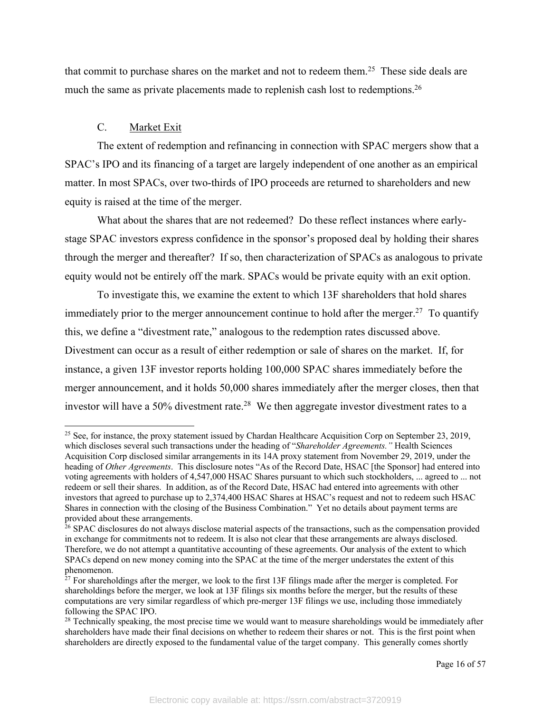that commit to purchase shares on the market and not to redeem them.<sup>25</sup> These side deals are much the same as private placements made to replenish cash lost to redemptions.<sup>26</sup>

### C. Market Exit

The extent of redemption and refinancing in connection with SPAC mergers show that a SPAC's IPO and its financing of a target are largely independent of one another as an empirical matter. In most SPACs, over two-thirds of IPO proceeds are returned to shareholders and new equity is raised at the time of the merger.

What about the shares that are not redeemed? Do these reflect instances where earlystage SPAC investors express confidence in the sponsor's proposed deal by holding their shares through the merger and thereafter? If so, then characterization of SPACs as analogous to private equity would not be entirely off the mark. SPACs would be private equity with an exit option.

To investigate this, we examine the extent to which 13F shareholders that hold shares immediately prior to the merger announcement continue to hold after the merger.<sup>27</sup> To quantify this, we define a "divestment rate," analogous to the redemption rates discussed above. Divestment can occur as a result of either redemption or sale of shares on the market. If, for instance, a given 13F investor reports holding 100,000 SPAC shares immediately before the merger announcement, and it holds 50,000 shares immediately after the merger closes, then that investor will have a 50% divestment rate.<sup>28</sup> We then aggregate investor divestment rates to a

<sup>&</sup>lt;sup>25</sup> See, for instance, the proxy statement issued by Chardan Healthcare Acquisition Corp on September 23, 2019, which discloses several such transactions under the heading of "*Shareholder Agreements."* Health Sciences Acquisition Corp disclosed similar arrangements in its 14A proxy statement from November 29, 2019, under the heading of *Other Agreements*. This disclosure notes "As of the Record Date, HSAC [the Sponsor] had entered into voting agreements with holders of 4,547,000 HSAC Shares pursuant to which such stockholders, ... agreed to ... not redeem or sell their shares. In addition, as of the Record Date, HSAC had entered into agreements with other investors that agreed to purchase up to 2,374,400 HSAC Shares at HSAC's request and not to redeem such HSAC Shares in connection with the closing of the Business Combination." Yet no details about payment terms are provided about these arrangements.

<sup>&</sup>lt;sup>26</sup> SPAC disclosures do not always disclose material aspects of the transactions, such as the compensation provided in exchange for commitments not to redeem. It is also not clear that these arrangements are always disclosed. Therefore, we do not attempt a quantitative accounting of these agreements. Our analysis of the extent to which SPACs depend on new money coming into the SPAC at the time of the merger understates the extent of this phenomenon.

<sup>&</sup>lt;sup>27</sup> For shareholdings after the merger, we look to the first 13F filings made after the merger is completed. For shareholdings before the merger, we look at 13F filings six months before the merger, but the results of these computations are very similar regardless of which pre-merger 13F filings we use, including those immediately following the SPAC IPO.

 $28$  Technically speaking, the most precise time we would want to measure shareholdings would be immediately after shareholders have made their final decisions on whether to redeem their shares or not. This is the first point when shareholders are directly exposed to the fundamental value of the target company. This generally comes shortly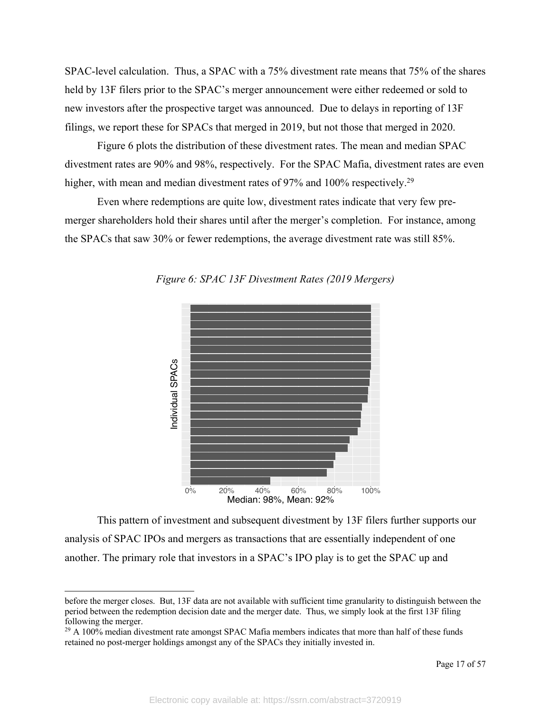SPAC-level calculation. Thus, a SPAC with a 75% divestment rate means that 75% of the shares held by 13F filers prior to the SPAC's merger announcement were either redeemed or sold to new investors after the prospective target was announced. Due to delays in reporting of 13F filings, we report these for SPACs that merged in 2019, but not those that merged in 2020.

Figure 6 plots the distribution of these divestment rates. The mean and median SPAC divestment rates are 90% and 98%, respectively. For the SPAC Mafia, divestment rates are even higher, with mean and median divestment rates of 97% and 100% respectively.<sup>29</sup>

Even where redemptions are quite low, divestment rates indicate that very few premerger shareholders hold their shares until after the merger's completion. For instance, among the SPACs that saw 30% or fewer redemptions, the average divestment rate was still 85%.



*Figure 6: SPAC 13F Divestment Rates (2019 Mergers)*

This pattern of investment and subsequent divestment by 13F filers further supports our analysis of SPAC IPOs and mergers as transactions that are essentially independent of one another. The primary role that investors in a SPAC's IPO play is to get the SPAC up and

before the merger closes. But, 13F data are not available with sufficient time granularity to distinguish between the period between the redemption decision date and the merger date. Thus, we simply look at the first 13F filing following the merger.

 $^{29}$  A 100% median divestment rate amongst SPAC Mafia members indicates that more than half of these funds retained no post-merger holdings amongst any of the SPACs they initially invested in.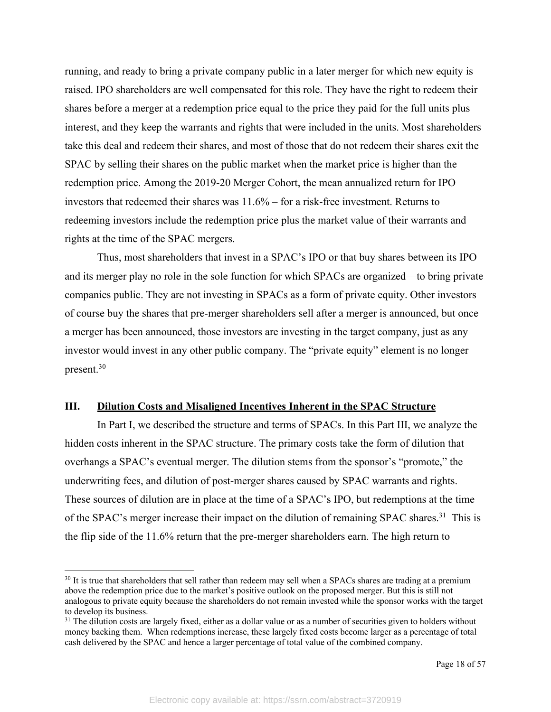running, and ready to bring a private company public in a later merger for which new equity is raised. IPO shareholders are well compensated for this role. They have the right to redeem their shares before a merger at a redemption price equal to the price they paid for the full units plus interest, and they keep the warrants and rights that were included in the units. Most shareholders take this deal and redeem their shares, and most of those that do not redeem their shares exit the SPAC by selling their shares on the public market when the market price is higher than the redemption price. Among the 2019-20 Merger Cohort, the mean annualized return for IPO investors that redeemed their shares was 11.6% – for a risk-free investment. Returns to redeeming investors include the redemption price plus the market value of their warrants and rights at the time of the SPAC mergers.

Thus, most shareholders that invest in a SPAC's IPO or that buy shares between its IPO and its merger play no role in the sole function for which SPACs are organized—to bring private companies public. They are not investing in SPACs as a form of private equity. Other investors of course buy the shares that pre-merger shareholders sell after a merger is announced, but once a merger has been announced, those investors are investing in the target company, just as any investor would invest in any other public company. The "private equity" element is no longer present.30

#### **III. Dilution Costs and Misaligned Incentives Inherent in the SPAC Structure**

In Part I, we described the structure and terms of SPACs. In this Part III, we analyze the hidden costs inherent in the SPAC structure. The primary costs take the form of dilution that overhangs a SPAC's eventual merger. The dilution stems from the sponsor's "promote," the underwriting fees, and dilution of post-merger shares caused by SPAC warrants and rights. These sources of dilution are in place at the time of a SPAC's IPO, but redemptions at the time of the SPAC's merger increase their impact on the dilution of remaining SPAC shares.<sup>31</sup> This is the flip side of the 11.6% return that the pre-merger shareholders earn. The high return to

<sup>&</sup>lt;sup>30</sup> It is true that shareholders that sell rather than redeem may sell when a SPACs shares are trading at a premium above the redemption price due to the market's positive outlook on the proposed merger. But this is still not analogous to private equity because the shareholders do not remain invested while the sponsor works with the target to develop its business.

 $31$  The dilution costs are largely fixed, either as a dollar value or as a number of securities given to holders without money backing them. When redemptions increase, these largely fixed costs become larger as a percentage of total cash delivered by the SPAC and hence a larger percentage of total value of the combined company.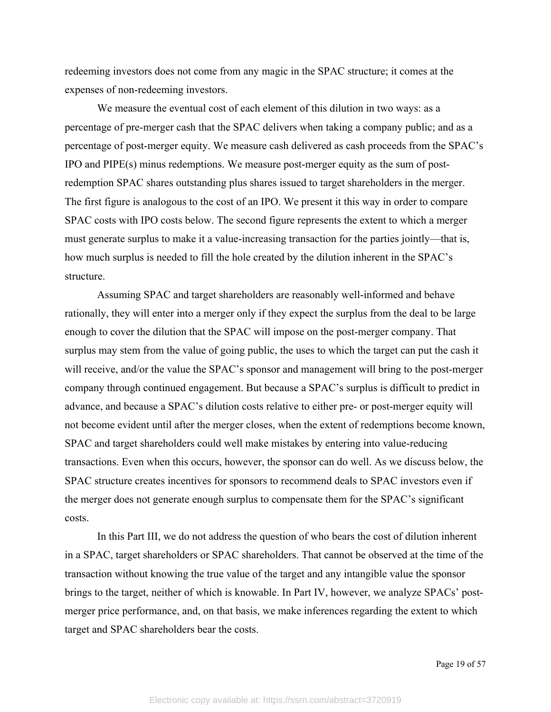redeeming investors does not come from any magic in the SPAC structure; it comes at the expenses of non-redeeming investors.

We measure the eventual cost of each element of this dilution in two ways: as a percentage of pre-merger cash that the SPAC delivers when taking a company public; and as a percentage of post-merger equity. We measure cash delivered as cash proceeds from the SPAC's IPO and PIPE(s) minus redemptions. We measure post-merger equity as the sum of postredemption SPAC shares outstanding plus shares issued to target shareholders in the merger. The first figure is analogous to the cost of an IPO. We present it this way in order to compare SPAC costs with IPO costs below. The second figure represents the extent to which a merger must generate surplus to make it a value-increasing transaction for the parties jointly—that is, how much surplus is needed to fill the hole created by the dilution inherent in the SPAC's structure.

Assuming SPAC and target shareholders are reasonably well-informed and behave rationally, they will enter into a merger only if they expect the surplus from the deal to be large enough to cover the dilution that the SPAC will impose on the post-merger company. That surplus may stem from the value of going public, the uses to which the target can put the cash it will receive, and/or the value the SPAC's sponsor and management will bring to the post-merger company through continued engagement. But because a SPAC's surplus is difficult to predict in advance, and because a SPAC's dilution costs relative to either pre- or post-merger equity will not become evident until after the merger closes, when the extent of redemptions become known, SPAC and target shareholders could well make mistakes by entering into value-reducing transactions. Even when this occurs, however, the sponsor can do well. As we discuss below, the SPAC structure creates incentives for sponsors to recommend deals to SPAC investors even if the merger does not generate enough surplus to compensate them for the SPAC's significant costs.

In this Part III, we do not address the question of who bears the cost of dilution inherent in a SPAC, target shareholders or SPAC shareholders. That cannot be observed at the time of the transaction without knowing the true value of the target and any intangible value the sponsor brings to the target, neither of which is knowable. In Part IV, however, we analyze SPACs' postmerger price performance, and, on that basis, we make inferences regarding the extent to which target and SPAC shareholders bear the costs.

Page 19 of 57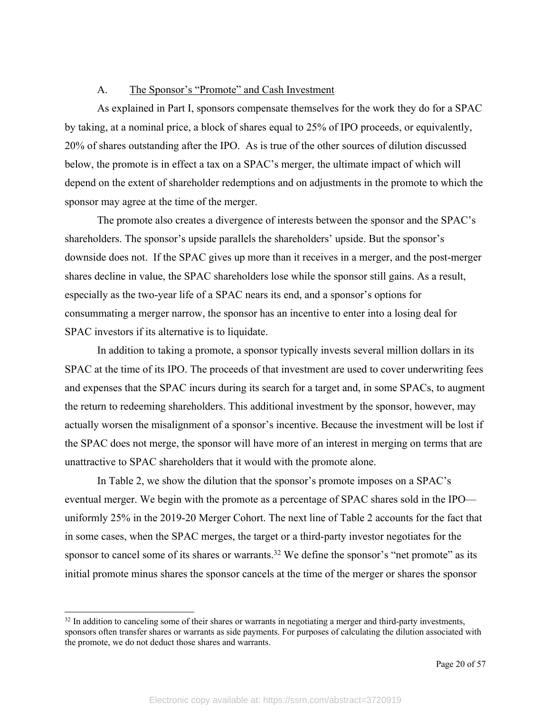#### A. The Sponsor's "Promote" and Cash Investment

As explained in Part I, sponsors compensate themselves for the work they do for a SPAC by taking, at a nominal price, a block of shares equal to 25% of IPO proceeds, or equivalently, 20% of shares outstanding after the IPO. As is true of the other sources of dilution discussed below, the promote is in effect a tax on a SPAC's merger, the ultimate impact of which will depend on the extent of shareholder redemptions and on adjustments in the promote to which the sponsor may agree at the time of the merger.

The promote also creates a divergence of interests between the sponsor and the SPAC's shareholders. The sponsor's upside parallels the shareholders' upside. But the sponsor's downside does not. If the SPAC gives up more than it receives in a merger, and the post-merger shares decline in value, the SPAC shareholders lose while the sponsor still gains. As a result, especially as the two-year life of a SPAC nears its end, and a sponsor's options for consummating a merger narrow, the sponsor has an incentive to enter into a losing deal for SPAC investors if its alternative is to liquidate.

In addition to taking a promote, a sponsor typically invests several million dollars in its SPAC at the time of its IPO. The proceeds of that investment are used to cover underwriting fees and expenses that the SPAC incurs during its search for a target and, in some SPACs, to augment the return to redeeming shareholders. This additional investment by the sponsor, however, may actually worsen the misalignment of a sponsor's incentive. Because the investment will be lost if the SPAC does not merge, the sponsor will have more of an interest in merging on terms that are unattractive to SPAC shareholders that it would with the promote alone.

In Table 2, we show the dilution that the sponsor's promote imposes on a SPAC's eventual merger. We begin with the promote as a percentage of SPAC shares sold in the IPO uniformly 25% in the 2019-20 Merger Cohort. The next line of Table 2 accounts for the fact that in some cases, when the SPAC merges, the target or a third-party investor negotiates for the sponsor to cancel some of its shares or warrants.<sup>32</sup> We define the sponsor's "net promote" as its initial promote minus shares the sponsor cancels at the time of the merger or shares the sponsor

 $32$  In addition to canceling some of their shares or warrants in negotiating a merger and third-party investments, sponsors often transfer shares or warrants as side payments. For purposes of calculating the dilution associated with the promote, we do not deduct those shares and warrants.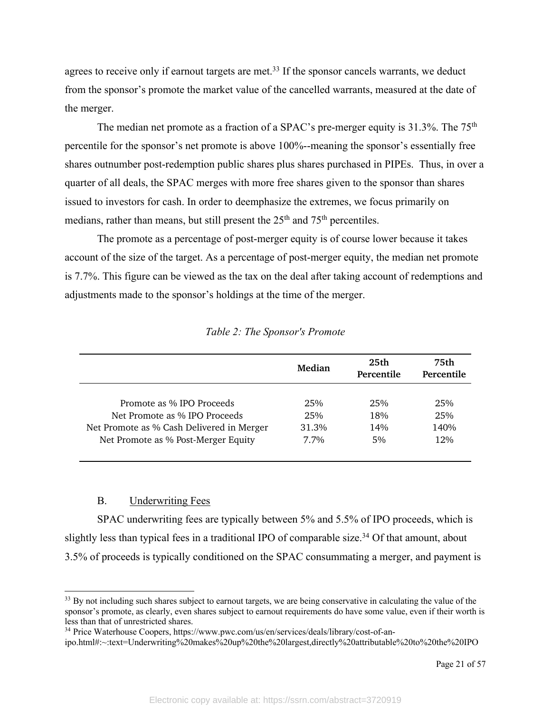agrees to receive only if earnout targets are met.<sup>33</sup> If the sponsor cancels warrants, we deduct from the sponsor's promote the market value of the cancelled warrants, measured at the date of the merger.

The median net promote as a fraction of a SPAC's pre-merger equity is 31.3%. The 75<sup>th</sup> percentile for the sponsor's net promote is above 100%--meaning the sponsor's essentially free shares outnumber post-redemption public shares plus shares purchased in PIPEs. Thus, in over a quarter of all deals, the SPAC merges with more free shares given to the sponsor than shares issued to investors for cash. In order to deemphasize the extremes, we focus primarily on medians, rather than means, but still present the  $25<sup>th</sup>$  and  $75<sup>th</sup>$  percentiles.

The promote as a percentage of post-merger equity is of course lower because it takes account of the size of the target. As a percentage of post-merger equity, the median net promote is 7.7%. This figure can be viewed as the tax on the deal after taking account of redemptions and adjustments made to the sponsor's holdings at the time of the merger.

|                                                                            | Median       | 25 <sub>th</sub><br>Percentile | 75th<br>Percentile |  |
|----------------------------------------------------------------------------|--------------|--------------------------------|--------------------|--|
| Promote as % IPO Proceeds                                                  | 25%          | 25%                            | 25%                |  |
| Net Promote as % IPO Proceeds<br>Net Promote as % Cash Delivered in Merger | 25%<br>31.3% | 18%<br>14%                     | 25%<br>140%        |  |
| Net Promote as % Post-Merger Equity                                        | $7.7\%$      | 5%                             | 12%                |  |

### B. Underwriting Fees

SPAC underwriting fees are typically between 5% and 5.5% of IPO proceeds, which is slightly less than typical fees in a traditional IPO of comparable size.<sup>34</sup> Of that amount, about 3.5% of proceeds is typically conditioned on the SPAC consummating a merger, and payment is

<sup>&</sup>lt;sup>33</sup> By not including such shares subject to earnout targets, we are being conservative in calculating the value of the sponsor's promote, as clearly, even shares subject to earnout requirements do have some value, even if their worth is less than that of unrestricted shares.

<sup>&</sup>lt;sup>34</sup> Price Waterhouse Coopers, https://www.pwc.com/us/en/services/deals/library/cost-of-an-

ipo.html#:~:text=Underwriting%20makes%20up%20the%20largest,directly%20attributable%20to%20the%20IPO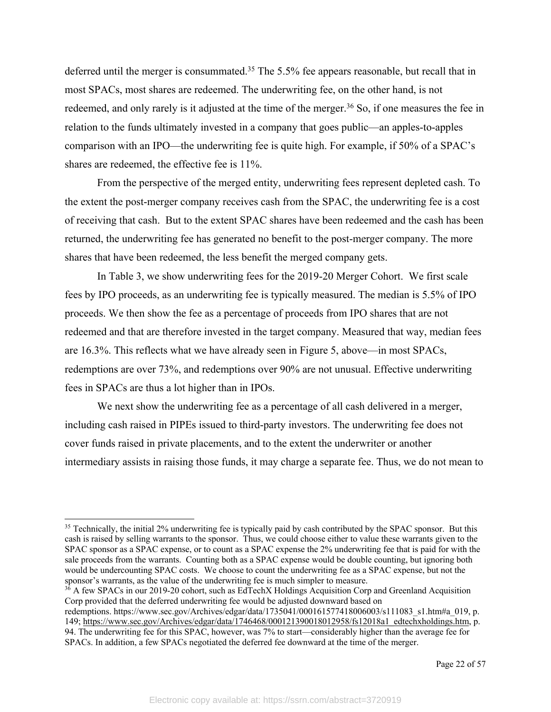deferred until the merger is consummated.<sup>35</sup> The 5.5% fee appears reasonable, but recall that in most SPACs, most shares are redeemed. The underwriting fee, on the other hand, is not redeemed, and only rarely is it adjusted at the time of the merger.<sup>36</sup> So, if one measures the fee in relation to the funds ultimately invested in a company that goes public—an apples-to-apples comparison with an IPO—the underwriting fee is quite high. For example, if 50% of a SPAC's shares are redeemed, the effective fee is 11%.

From the perspective of the merged entity, underwriting fees represent depleted cash. To the extent the post-merger company receives cash from the SPAC, the underwriting fee is a cost of receiving that cash. But to the extent SPAC shares have been redeemed and the cash has been returned, the underwriting fee has generated no benefit to the post-merger company. The more shares that have been redeemed, the less benefit the merged company gets.

In Table 3, we show underwriting fees for the 2019-20 Merger Cohort. We first scale fees by IPO proceeds, as an underwriting fee is typically measured. The median is 5.5% of IPO proceeds. We then show the fee as a percentage of proceeds from IPO shares that are not redeemed and that are therefore invested in the target company. Measured that way, median fees are 16.3%. This reflects what we have already seen in Figure 5, above—in most SPACs, redemptions are over 73%, and redemptions over 90% are not unusual. Effective underwriting fees in SPACs are thus a lot higher than in IPOs.

We next show the underwriting fee as a percentage of all cash delivered in a merger, including cash raised in PIPEs issued to third-party investors. The underwriting fee does not cover funds raised in private placements, and to the extent the underwriter or another intermediary assists in raising those funds, it may charge a separate fee. Thus, we do not mean to

<sup>36</sup> A few SPACs in our 2019-20 cohort, such as EdTechX Holdings Acquisition Corp and Greenland Acquisition Corp provided that the deferred underwriting fee would be adjusted downward based on

<sup>&</sup>lt;sup>35</sup> Technically, the initial 2% underwriting fee is typically paid by cash contributed by the SPAC sponsor. But this cash is raised by selling warrants to the sponsor. Thus, we could choose either to value these warrants given to the SPAC sponsor as a SPAC expense, or to count as a SPAC expense the 2% underwriting fee that is paid for with the sale proceeds from the warrants. Counting both as a SPAC expense would be double counting, but ignoring both would be undercounting SPAC costs. We choose to count the underwriting fee as a SPAC expense, but not the sponsor's warrants, as the value of the underwriting fee is much simpler to measure.

redemptions. https://www.sec.gov/Archives/edgar/data/1735041/000161577418006003/s111083\_s1.htm#a\_019, p. 149; https://www.sec.gov/Archives/edgar/data/1746468/000121390018012958/fs12018a1\_edtechxholdings.htm, p. 94. The underwriting fee for this SPAC, however, was 7% to start—considerably higher than the average fee for SPACs. In addition, a few SPACs negotiated the deferred fee downward at the time of the merger.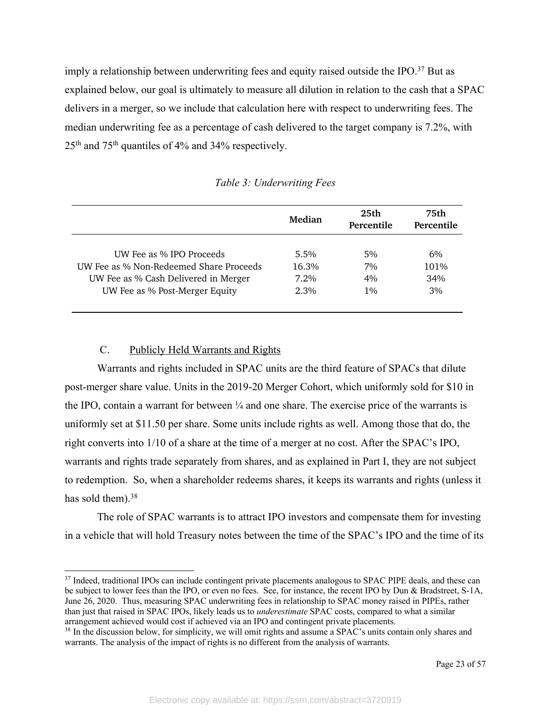imply a relationship between underwriting fees and equity raised outside the IPO.<sup>37</sup> But as explained below, our goal is ultimately to measure all dilution in relation to the cash that a SPAC delivers in a merger, so we include that calculation here with respect to underwriting fees. The median underwriting fee as a percentage of cash delivered to the target company is 7.2%, with  $25<sup>th</sup>$  and  $75<sup>th</sup>$  quantiles of 4% and 34% respectively.

|                                         | Median  | 25 <sub>th</sub><br>Percentile | 75th<br>Percentile |  |
|-----------------------------------------|---------|--------------------------------|--------------------|--|
| UW Fee as % IPO Proceeds                | $5.5\%$ | 5%                             | 6%                 |  |
| UW Fee as % Non-Redeemed Share Proceeds | 16.3%   | 7%                             | 101%               |  |
| UW Fee as % Cash Delivered in Merger    | 7.2%    | $4\%$                          | 34%                |  |
| UW Fee as % Post-Merger Equity          | 2.3%    | $1\%$                          | 3%                 |  |

*Table 3: Underwriting Fees*

## C. Publicly Held Warrants and Rights

Warrants and rights included in SPAC units are the third feature of SPACs that dilute post-merger share value. Units in the 2019-20 Merger Cohort, which uniformly sold for \$10 in the IPO, contain a warrant for between  $\frac{1}{4}$  and one share. The exercise price of the warrants is uniformly set at \$11.50 per share. Some units include rights as well. Among those that do, the right converts into 1/10 of a share at the time of a merger at no cost. After the SPAC's IPO, warrants and rights trade separately from shares, and as explained in Part I, they are not subject to redemption. So, when a shareholder redeems shares, it keeps its warrants and rights (unless it has sold them). $38$ 

The role of SPAC warrants is to attract IPO investors and compensate them for investing in a vehicle that will hold Treasury notes between the time of the SPAC's IPO and the time of its

<sup>&</sup>lt;sup>37</sup> Indeed, traditional IPOs can include contingent private placements analogous to SPAC PIPE deals, and these can be subject to lower fees than the IPO, or even no fees. See, for instance, the recent IPO by Dun & Bradstreet, S-1A, June 26, 2020. Thus, measuring SPAC underwriting fees in relationship to SPAC money raised in PIPEs, rather than just that raised in SPAC IPOs, likely leads us to *underestimate* SPAC costs, compared to what a similar arrangement achieved would cost if achieved via an IPO and contingent private placements.

<sup>&</sup>lt;sup>38</sup> In the discussion below, for simplicity, we will omit rights and assume a SPAC's units contain only shares and warrants. The analysis of the impact of rights is no different from the analysis of warrants.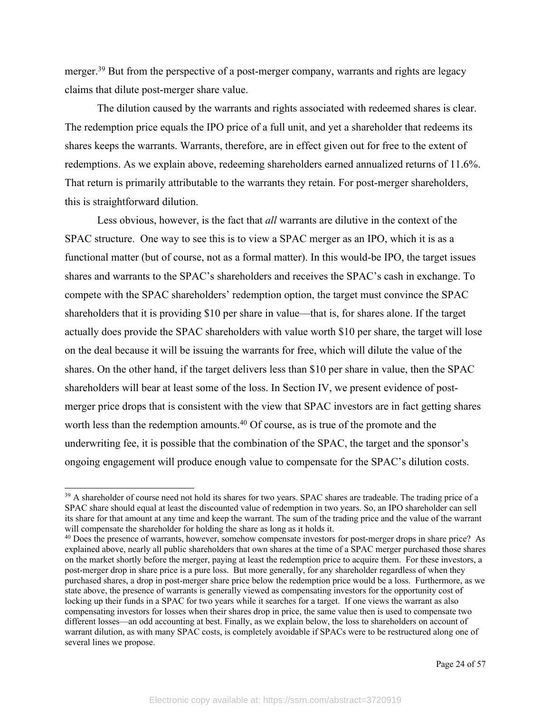merger.<sup>39</sup> But from the perspective of a post-merger company, warrants and rights are legacy claims that dilute post-merger share value.

The dilution caused by the warrants and rights associated with redeemed shares is clear. The redemption price equals the IPO price of a full unit, and yet a shareholder that redeems its shares keeps the warrants. Warrants, therefore, are in effect given out for free to the extent of redemptions. As we explain above, redeeming shareholders earned annualized returns of 11.6%. That return is primarily attributable to the warrants they retain. For post-merger shareholders, this is straightforward dilution.

Less obvious, however, is the fact that *all* warrants are dilutive in the context of the SPAC structure. One way to see this is to view a SPAC merger as an IPO, which it is as a functional matter (but of course, not as a formal matter). In this would-be IPO, the target issues shares and warrants to the SPAC's shareholders and receives the SPAC's cash in exchange. To compete with the SPAC shareholders' redemption option, the target must convince the SPAC shareholders that it is providing \$10 per share in value—that is, for shares alone. If the target actually does provide the SPAC shareholders with value worth \$10 per share, the target will lose on the deal because it will be issuing the warrants for free, which will dilute the value of the shares. On the other hand, if the target delivers less than \$10 per share in value, then the SPAC shareholders will bear at least some of the loss. In Section IV, we present evidence of postmerger price drops that is consistent with the view that SPAC investors are in fact getting shares worth less than the redemption amounts.<sup>40</sup> Of course, as is true of the promote and the underwriting fee, it is possible that the combination of the SPAC, the target and the sponsor's ongoing engagement will produce enough value to compensate for the SPAC's dilution costs.

<sup>&</sup>lt;sup>39</sup> A shareholder of course need not hold its shares for two years. SPAC shares are tradeable. The trading price of a SPAC share should equal at least the discounted value of redemption in two years. So, an IPO shareholder can sell its share for that amount at any time and keep the warrant. The sum of the trading price and the value of the warrant will compensate the shareholder for holding the share as long as it holds it.

<sup>&</sup>lt;sup>40</sup> Does the presence of warrants, however, somehow compensate investors for post-merger drops in share price? As explained above, nearly all public shareholders that own shares at the time of a SPAC merger purchased those shares on the market shortly before the merger, paying at least the redemption price to acquire them. For these investors, a post-merger drop in share price is a pure loss. But more generally, for any shareholder regardless of when they purchased shares, a drop in post-merger share price below the redemption price would be a loss. Furthermore, as we state above, the presence of warrants is generally viewed as compensating investors for the opportunity cost of locking up their funds in a SPAC for two years while it searches for a target. If one views the warrant as also compensating investors for losses when their shares drop in price, the same value then is used to compensate two different losses—an odd accounting at best. Finally, as we explain below, the loss to shareholders on account of warrant dilution, as with many SPAC costs, is completely avoidable if SPACs were to be restructured along one of several lines we propose.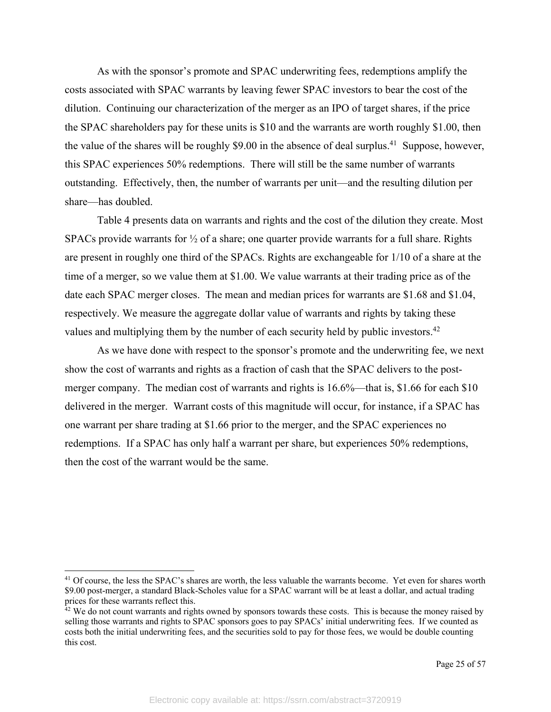As with the sponsor's promote and SPAC underwriting fees, redemptions amplify the costs associated with SPAC warrants by leaving fewer SPAC investors to bear the cost of the dilution. Continuing our characterization of the merger as an IPO of target shares, if the price the SPAC shareholders pay for these units is \$10 and the warrants are worth roughly \$1.00, then the value of the shares will be roughly \$9.00 in the absence of deal surplus.<sup>41</sup> Suppose, however, this SPAC experiences 50% redemptions. There will still be the same number of warrants outstanding. Effectively, then, the number of warrants per unit—and the resulting dilution per share—has doubled.

Table 4 presents data on warrants and rights and the cost of the dilution they create. Most SPACs provide warrants for ½ of a share; one quarter provide warrants for a full share. Rights are present in roughly one third of the SPACs. Rights are exchangeable for 1/10 of a share at the time of a merger, so we value them at \$1.00. We value warrants at their trading price as of the date each SPAC merger closes. The mean and median prices for warrants are \$1.68 and \$1.04, respectively. We measure the aggregate dollar value of warrants and rights by taking these values and multiplying them by the number of each security held by public investors.<sup>42</sup>

As we have done with respect to the sponsor's promote and the underwriting fee, we next show the cost of warrants and rights as a fraction of cash that the SPAC delivers to the postmerger company. The median cost of warrants and rights is 16.6%—that is, \$1.66 for each \$10 delivered in the merger. Warrant costs of this magnitude will occur, for instance, if a SPAC has one warrant per share trading at \$1.66 prior to the merger, and the SPAC experiences no redemptions. If a SPAC has only half a warrant per share, but experiences 50% redemptions, then the cost of the warrant would be the same.

<sup>&</sup>lt;sup>41</sup> Of course, the less the SPAC's shares are worth, the less valuable the warrants become. Yet even for shares worth \$9.00 post-merger, a standard Black-Scholes value for a SPAC warrant will be at least a dollar, and actual trading prices for these warrants reflect this.

 $42$  We do not count warrants and rights owned by sponsors towards these costs. This is because the money raised by selling those warrants and rights to SPAC sponsors goes to pay SPACs' initial underwriting fees. If we counted as costs both the initial underwriting fees, and the securities sold to pay for those fees, we would be double counting this cost.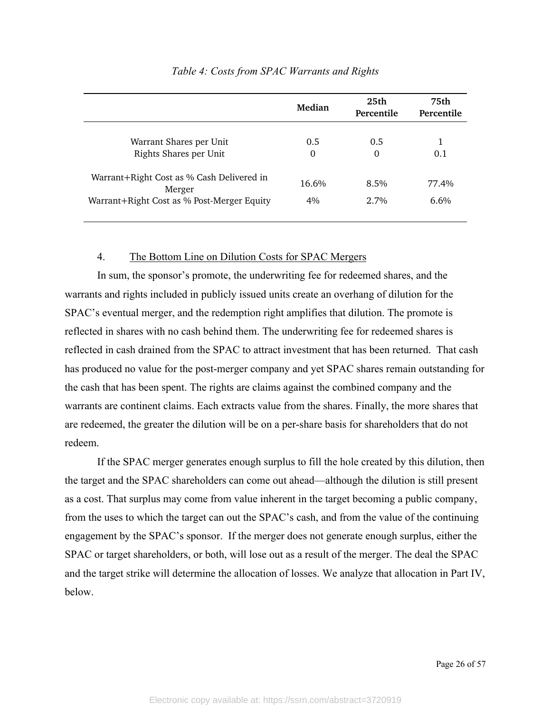|                                                     | 25th<br>Median<br>Percentile |          | 75th<br>Percentile |  |  |
|-----------------------------------------------------|------------------------------|----------|--------------------|--|--|
|                                                     |                              |          |                    |  |  |
| Warrant Shares per Unit                             | 0.5                          | 0.5      | 1                  |  |  |
| Rights Shares per Unit                              | $\Omega$                     | $\Omega$ | 0.1                |  |  |
| Warrant+Right Cost as % Cash Delivered in<br>Merger | 16.6%                        | 8.5%     | 77.4%              |  |  |
| Warrant+Right Cost as % Post-Merger Equity          | $4\%$                        | $2.7\%$  | $6.6\%$            |  |  |

### *Table 4: Costs from SPAC Warrants and Rights*

#### 4. The Bottom Line on Dilution Costs for SPAC Mergers

In sum, the sponsor's promote, the underwriting fee for redeemed shares, and the warrants and rights included in publicly issued units create an overhang of dilution for the SPAC's eventual merger, and the redemption right amplifies that dilution. The promote is reflected in shares with no cash behind them. The underwriting fee for redeemed shares is reflected in cash drained from the SPAC to attract investment that has been returned. That cash has produced no value for the post-merger company and yet SPAC shares remain outstanding for the cash that has been spent. The rights are claims against the combined company and the warrants are continent claims. Each extracts value from the shares. Finally, the more shares that are redeemed, the greater the dilution will be on a per-share basis for shareholders that do not redeem.

If the SPAC merger generates enough surplus to fill the hole created by this dilution, then the target and the SPAC shareholders can come out ahead—although the dilution is still present as a cost. That surplus may come from value inherent in the target becoming a public company, from the uses to which the target can out the SPAC's cash, and from the value of the continuing engagement by the SPAC's sponsor. If the merger does not generate enough surplus, either the SPAC or target shareholders, or both, will lose out as a result of the merger. The deal the SPAC and the target strike will determine the allocation of losses. We analyze that allocation in Part IV, below.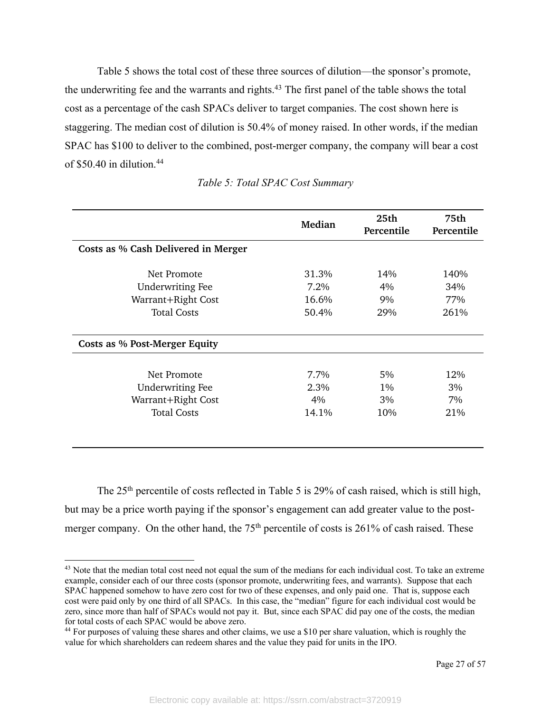Table 5 shows the total cost of these three sources of dilution—the sponsor's promote, the underwriting fee and the warrants and rights.<sup>43</sup> The first panel of the table shows the total cost as a percentage of the cash SPACs deliver to target companies. The cost shown here is staggering. The median cost of dilution is 50.4% of money raised. In other words, if the median SPAC has \$100 to deliver to the combined, post-merger company, the company will bear a cost of \$50.40 in dilution. 44

|                                     | Median | 25th<br>Percentile | 75th<br>Percentile |  |
|-------------------------------------|--------|--------------------|--------------------|--|
| Costs as % Cash Delivered in Merger |        |                    |                    |  |
| Net Promote                         | 31.3%  | 14%                | 140%               |  |
| <b>Underwriting Fee</b>             | 7.2%   | 4%                 | 34%                |  |
| Warrant+Right Cost                  | 16.6%  | 9%                 | 77%                |  |
| <b>Total Costs</b>                  | 50.4%  | 29%                | 261%               |  |
| Costs as % Post-Merger Equity       |        |                    |                    |  |
| Net Promote                         | 7.7%   | 5%                 | 12%                |  |
| <b>Underwriting Fee</b>             | 2.3%   | $1\%$              | 3%                 |  |
| Warrant+Right Cost                  | 4%     | 3%                 | 7%                 |  |
| <b>Total Costs</b>                  | 14.1%  | 10%                | 21%                |  |
|                                     |        |                    |                    |  |

|  |  | Table 5: Total SPAC Cost Summary |
|--|--|----------------------------------|
|  |  |                                  |

The 25<sup>th</sup> percentile of costs reflected in Table 5 is 29% of cash raised, which is still high, but may be a price worth paying if the sponsor's engagement can add greater value to the postmerger company. On the other hand, the  $75<sup>th</sup>$  percentile of costs is 261% of cash raised. These

<sup>&</sup>lt;sup>43</sup> Note that the median total cost need not equal the sum of the medians for each individual cost. To take an extreme example, consider each of our three costs (sponsor promote, underwriting fees, and warrants). Suppose that each SPAC happened somehow to have zero cost for two of these expenses, and only paid one. That is, suppose each cost were paid only by one third of all SPACs. In this case, the "median" figure for each individual cost would be zero, since more than half of SPACs would not pay it. But, since each SPAC did pay one of the costs, the median for total costs of each SPAC would be above zero.

<sup>&</sup>lt;sup>44</sup> For purposes of valuing these shares and other claims, we use a \$10 per share valuation, which is roughly the value for which shareholders can redeem shares and the value they paid for units in the IPO.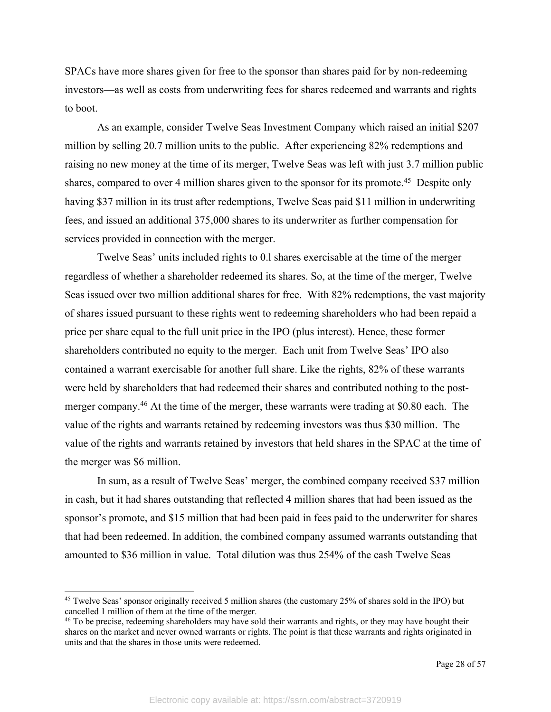SPACs have more shares given for free to the sponsor than shares paid for by non-redeeming investors—as well as costs from underwriting fees for shares redeemed and warrants and rights to boot.

As an example, consider Twelve Seas Investment Company which raised an initial \$207 million by selling 20.7 million units to the public. After experiencing 82% redemptions and raising no new money at the time of its merger, Twelve Seas was left with just 3.7 million public shares, compared to over 4 million shares given to the sponsor for its promote.<sup>45</sup> Despite only having \$37 million in its trust after redemptions, Twelve Seas paid \$11 million in underwriting fees, and issued an additional 375,000 shares to its underwriter as further compensation for services provided in connection with the merger.

Twelve Seas' units included rights to 0.l shares exercisable at the time of the merger regardless of whether a shareholder redeemed its shares. So, at the time of the merger, Twelve Seas issued over two million additional shares for free. With 82% redemptions, the vast majority of shares issued pursuant to these rights went to redeeming shareholders who had been repaid a price per share equal to the full unit price in the IPO (plus interest). Hence, these former shareholders contributed no equity to the merger. Each unit from Twelve Seas' IPO also contained a warrant exercisable for another full share. Like the rights, 82% of these warrants were held by shareholders that had redeemed their shares and contributed nothing to the postmerger company.46 At the time of the merger, these warrants were trading at \$0.80 each. The value of the rights and warrants retained by redeeming investors was thus \$30 million. The value of the rights and warrants retained by investors that held shares in the SPAC at the time of the merger was \$6 million.

In sum, as a result of Twelve Seas' merger, the combined company received \$37 million in cash, but it had shares outstanding that reflected 4 million shares that had been issued as the sponsor's promote, and \$15 million that had been paid in fees paid to the underwriter for shares that had been redeemed. In addition, the combined company assumed warrants outstanding that amounted to \$36 million in value. Total dilution was thus 254% of the cash Twelve Seas

<sup>45</sup> Twelve Seas' sponsor originally received 5 million shares (the customary 25% of shares sold in the IPO) but cancelled 1 million of them at the time of the merger.

<sup>&</sup>lt;sup>46</sup> To be precise, redeeming shareholders may have sold their warrants and rights, or they may have bought their shares on the market and never owned warrants or rights. The point is that these warrants and rights originated in units and that the shares in those units were redeemed.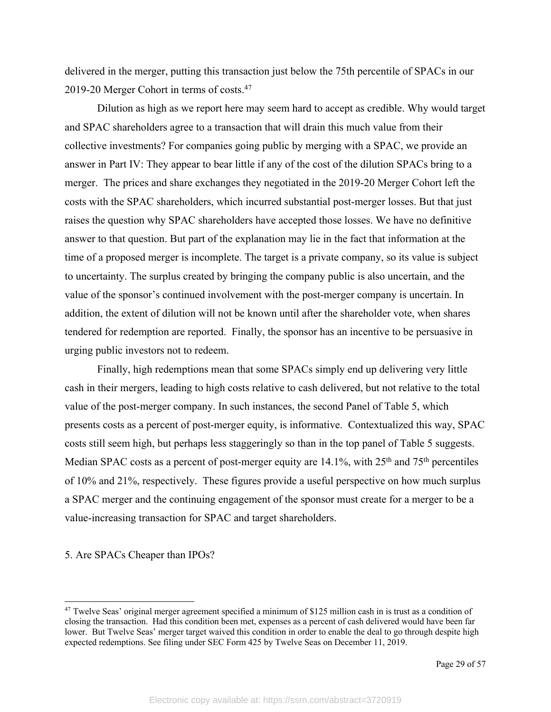delivered in the merger, putting this transaction just below the 75th percentile of SPACs in our 2019-20 Merger Cohort in terms of costs.47

Dilution as high as we report here may seem hard to accept as credible. Why would target and SPAC shareholders agree to a transaction that will drain this much value from their collective investments? For companies going public by merging with a SPAC, we provide an answer in Part IV: They appear to bear little if any of the cost of the dilution SPACs bring to a merger. The prices and share exchanges they negotiated in the 2019-20 Merger Cohort left the costs with the SPAC shareholders, which incurred substantial post-merger losses. But that just raises the question why SPAC shareholders have accepted those losses. We have no definitive answer to that question. But part of the explanation may lie in the fact that information at the time of a proposed merger is incomplete. The target is a private company, so its value is subject to uncertainty. The surplus created by bringing the company public is also uncertain, and the value of the sponsor's continued involvement with the post-merger company is uncertain. In addition, the extent of dilution will not be known until after the shareholder vote, when shares tendered for redemption are reported. Finally, the sponsor has an incentive to be persuasive in urging public investors not to redeem.

Finally, high redemptions mean that some SPACs simply end up delivering very little cash in their mergers, leading to high costs relative to cash delivered, but not relative to the total value of the post-merger company. In such instances, the second Panel of Table 5, which presents costs as a percent of post-merger equity, is informative. Contextualized this way, SPAC costs still seem high, but perhaps less staggeringly so than in the top panel of Table 5 suggests. Median SPAC costs as a percent of post-merger equity are  $14.1\%$ , with  $25<sup>th</sup>$  and  $75<sup>th</sup>$  percentiles of 10% and 21%, respectively. These figures provide a useful perspective on how much surplus a SPAC merger and the continuing engagement of the sponsor must create for a merger to be a value-increasing transaction for SPAC and target shareholders.

#### 5. Are SPACs Cheaper than IPOs?

 $47$  Twelve Seas' original merger agreement specified a minimum of \$125 million cash in is trust as a condition of closing the transaction. Had this condition been met, expenses as a percent of cash delivered would have been far lower. But Twelve Seas' merger target waived this condition in order to enable the deal to go through despite high expected redemptions. See filing under SEC Form 425 by Twelve Seas on December 11, 2019.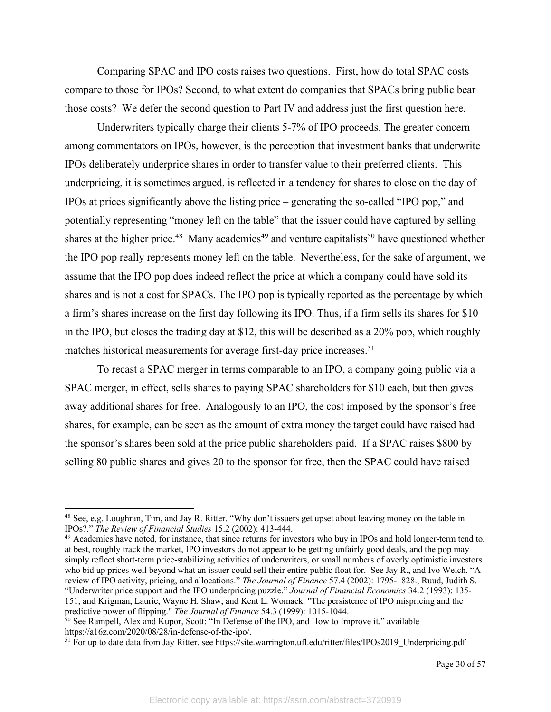Comparing SPAC and IPO costs raises two questions. First, how do total SPAC costs compare to those for IPOs? Second, to what extent do companies that SPACs bring public bear those costs? We defer the second question to Part IV and address just the first question here.

Underwriters typically charge their clients 5-7% of IPO proceeds. The greater concern among commentators on IPOs, however, is the perception that investment banks that underwrite IPOs deliberately underprice shares in order to transfer value to their preferred clients. This underpricing, it is sometimes argued, is reflected in a tendency for shares to close on the day of IPOs at prices significantly above the listing price – generating the so-called "IPO pop," and potentially representing "money left on the table" that the issuer could have captured by selling shares at the higher price.<sup>48</sup> Many academics<sup>49</sup> and venture capitalists<sup>50</sup> have questioned whether the IPO pop really represents money left on the table. Nevertheless, for the sake of argument, we assume that the IPO pop does indeed reflect the price at which a company could have sold its shares and is not a cost for SPACs. The IPO pop is typically reported as the percentage by which a firm's shares increase on the first day following its IPO. Thus, if a firm sells its shares for \$10 in the IPO, but closes the trading day at \$12, this will be described as a 20% pop, which roughly matches historical measurements for average first-day price increases.<sup>51</sup>

To recast a SPAC merger in terms comparable to an IPO, a company going public via a SPAC merger, in effect, sells shares to paying SPAC shareholders for \$10 each, but then gives away additional shares for free. Analogously to an IPO, the cost imposed by the sponsor's free shares, for example, can be seen as the amount of extra money the target could have raised had the sponsor's shares been sold at the price public shareholders paid. If a SPAC raises \$800 by selling 80 public shares and gives 20 to the sponsor for free, then the SPAC could have raised

<sup>48</sup> See, e.g. Loughran, Tim, and Jay R. Ritter. "Why don't issuers get upset about leaving money on the table in IPOs?." *The Review of Financial Studies* 15.2 (2002): 413-444.

<sup>&</sup>lt;sup>49</sup> Academics have noted, for instance, that since returns for investors who buy in IPOs and hold longer-term tend to, at best, roughly track the market, IPO investors do not appear to be getting unfairly good deals, and the pop may simply reflect short-term price-stabilizing activities of underwriters, or small numbers of overly optimistic investors who bid up prices well beyond what an issuer could sell their entire public float for. See Jay R., and Ivo Welch. "A review of IPO activity, pricing, and allocations." *The Journal of Finance* 57.4 (2002): 1795-1828., Ruud, Judith S. "Underwriter price support and the IPO underpricing puzzle." *Journal of Financial Economics* 34.2 (1993): 135- 151, and Krigman, Laurie, Wayne H. Shaw, and Kent L. Womack. "The persistence of IPO mispricing and the predictive power of flipping." *The Journal of Finance* 54.3 (1999): 1015-1044.

<sup>&</sup>lt;sup>50</sup> See Rampell, Alex and Kupor, Scott: "In Defense of the IPO, and How to Improve it." available https://a16z.com/2020/08/28/in-defense-of-the-ipo/.

<sup>&</sup>lt;sup>51</sup> For up to date data from Jay Ritter, see https://site.warrington.ufl.edu/ritter/files/IPOs2019\_Underpricing.pdf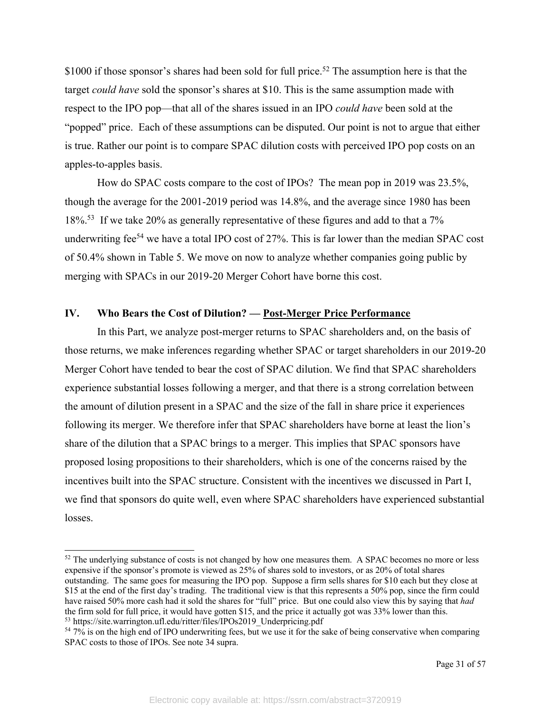\$1000 if those sponsor's shares had been sold for full price.<sup>52</sup> The assumption here is that the target *could have* sold the sponsor's shares at \$10. This is the same assumption made with respect to the IPO pop—that all of the shares issued in an IPO *could have* been sold at the "popped" price. Each of these assumptions can be disputed. Our point is not to argue that either is true. Rather our point is to compare SPAC dilution costs with perceived IPO pop costs on an apples-to-apples basis.

How do SPAC costs compare to the cost of IPOs? The mean pop in 2019 was 23.5%, though the average for the 2001-2019 period was 14.8%, and the average since 1980 has been 18%<sup>53</sup>. If we take 20% as generally representative of these figures and add to that a 7% underwriting fee<sup>54</sup> we have a total IPO cost of  $27\%$ . This is far lower than the median SPAC cost of 50.4% shown in Table 5. We move on now to analyze whether companies going public by merging with SPACs in our 2019-20 Merger Cohort have borne this cost.

## **IV. Who Bears the Cost of Dilution? — Post-Merger Price Performance**

In this Part, we analyze post-merger returns to SPAC shareholders and, on the basis of those returns, we make inferences regarding whether SPAC or target shareholders in our 2019-20 Merger Cohort have tended to bear the cost of SPAC dilution. We find that SPAC shareholders experience substantial losses following a merger, and that there is a strong correlation between the amount of dilution present in a SPAC and the size of the fall in share price it experiences following its merger. We therefore infer that SPAC shareholders have borne at least the lion's share of the dilution that a SPAC brings to a merger. This implies that SPAC sponsors have proposed losing propositions to their shareholders, which is one of the concerns raised by the incentives built into the SPAC structure. Consistent with the incentives we discussed in Part I, we find that sponsors do quite well, even where SPAC shareholders have experienced substantial losses.

<sup>&</sup>lt;sup>52</sup> The underlying substance of costs is not changed by how one measures them. A SPAC becomes no more or less expensive if the sponsor's promote is viewed as 25% of shares sold to investors, or as 20% of total shares outstanding. The same goes for measuring the IPO pop. Suppose a firm sells shares for \$10 each but they close at \$15 at the end of the first day's trading. The traditional view is that this represents a 50% pop, since the firm could have raised 50% more cash had it sold the shares for "full" price. But one could also view this by saying that *had* the firm sold for full price, it would have gotten \$15, and the price it actually got was 33% lower than this. <sup>53</sup> https://site.warrington.ufl.edu/ritter/files/IPOs2019\_Underpricing.pdf

<sup>54</sup> 7% is on the high end of IPO underwriting fees, but we use it for the sake of being conservative when comparing SPAC costs to those of IPOs. See note 34 supra.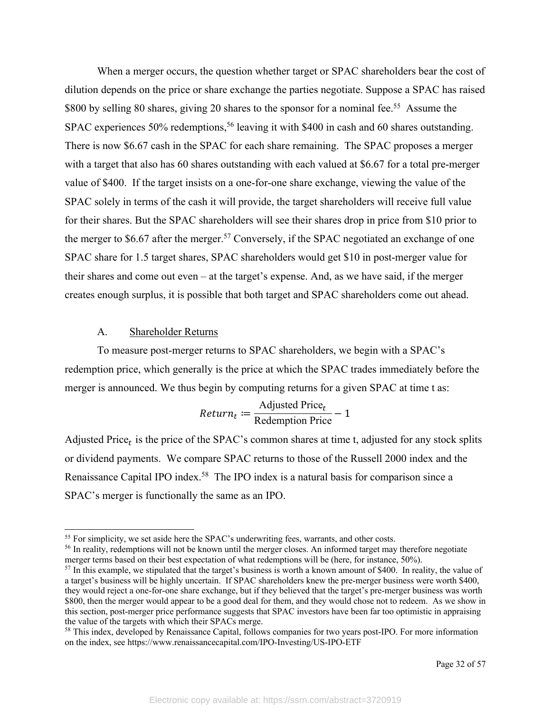When a merger occurs, the question whether target or SPAC shareholders bear the cost of dilution depends on the price or share exchange the parties negotiate. Suppose a SPAC has raised \$800 by selling 80 shares, giving 20 shares to the sponsor for a nominal fee.<sup>55</sup> Assume the SPAC experiences 50% redemptions,<sup>56</sup> leaving it with \$400 in cash and 60 shares outstanding. There is now \$6.67 cash in the SPAC for each share remaining. The SPAC proposes a merger with a target that also has 60 shares outstanding with each valued at \$6.67 for a total pre-merger value of \$400. If the target insists on a one-for-one share exchange, viewing the value of the SPAC solely in terms of the cash it will provide, the target shareholders will receive full value for their shares. But the SPAC shareholders will see their shares drop in price from \$10 prior to the merger to \$6.67 after the merger.<sup>57</sup> Conversely, if the SPAC negotiated an exchange of one SPAC share for 1.5 target shares, SPAC shareholders would get \$10 in post-merger value for their shares and come out even – at the target's expense. And, as we have said, if the merger creates enough surplus, it is possible that both target and SPAC shareholders come out ahead.

#### A. Shareholder Returns

To measure post-merger returns to SPAC shareholders, we begin with a SPAC's redemption price, which generally is the price at which the SPAC trades immediately before the merger is announced. We thus begin by computing returns for a given SPAC at time t as:

$$
Return_t := \frac{Adjusted Price_t}{Redempion Price} - 1
$$

Adjusted Price<sub>t</sub> is the price of the SPAC's common shares at time t, adjusted for any stock splits or dividend payments. We compare SPAC returns to those of the Russell 2000 index and the Renaissance Capital IPO index.<sup>58</sup> The IPO index is a natural basis for comparison since a SPAC's merger is functionally the same as an IPO.

<sup>&</sup>lt;sup>55</sup> For simplicity, we set aside here the SPAC's underwriting fees, warrants, and other costs.

<sup>&</sup>lt;sup>56</sup> In reality, redemptions will not be known until the merger closes. An informed target may therefore negotiate merger terms based on their best expectation of what redemptions will be (here, for instance, 50%).

 $57$  In this example, we stipulated that the target's business is worth a known amount of \$400. In reality, the value of a target's business will be highly uncertain. If SPAC shareholders knew the pre-merger business were worth \$400, they would reject a one-for-one share exchange, but if they believed that the target's pre-merger business was worth \$800, then the merger would appear to be a good deal for them, and they would chose not to redeem. As we show in this section, post-merger price performance suggests that SPAC investors have been far too optimistic in appraising the value of the targets with which their SPACs merge.

<sup>58</sup> This index, developed by Renaissance Capital, follows companies for two years post-IPO. For more information on the index, see https://www.renaissancecapital.com/IPO-Investing/US-IPO-ETF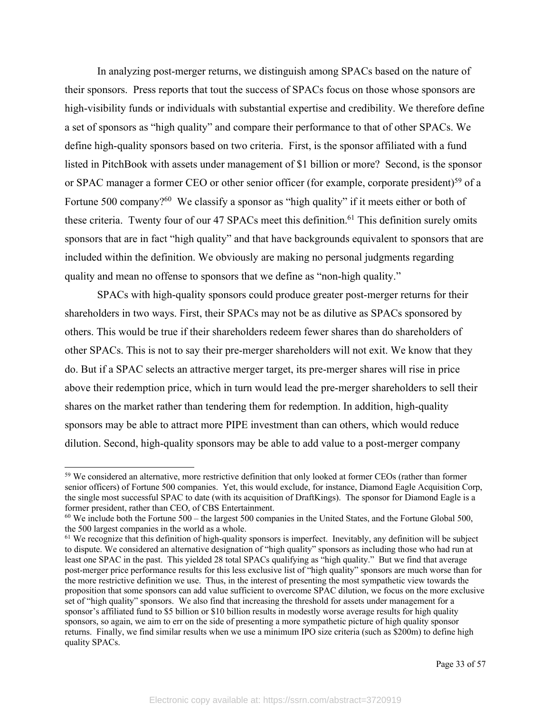In analyzing post-merger returns, we distinguish among SPACs based on the nature of their sponsors. Press reports that tout the success of SPACs focus on those whose sponsors are high-visibility funds or individuals with substantial expertise and credibility. We therefore define a set of sponsors as "high quality" and compare their performance to that of other SPACs. We define high-quality sponsors based on two criteria. First, is the sponsor affiliated with a fund listed in PitchBook with assets under management of \$1 billion or more? Second, is the sponsor or SPAC manager a former CEO or other senior officer (for example, corporate president)<sup>59</sup> of a Fortune 500 company?<sup>60</sup> We classify a sponsor as "high quality" if it meets either or both of these criteria. Twenty four of our 47 SPACs meet this definition.<sup>61</sup> This definition surely omits sponsors that are in fact "high quality" and that have backgrounds equivalent to sponsors that are included within the definition. We obviously are making no personal judgments regarding quality and mean no offense to sponsors that we define as "non-high quality."

SPACs with high-quality sponsors could produce greater post-merger returns for their shareholders in two ways. First, their SPACs may not be as dilutive as SPACs sponsored by others. This would be true if their shareholders redeem fewer shares than do shareholders of other SPACs. This is not to say their pre-merger shareholders will not exit. We know that they do. But if a SPAC selects an attractive merger target, its pre-merger shares will rise in price above their redemption price, which in turn would lead the pre-merger shareholders to sell their shares on the market rather than tendering them for redemption. In addition, high-quality sponsors may be able to attract more PIPE investment than can others, which would reduce dilution. Second, high-quality sponsors may be able to add value to a post-merger company

<sup>&</sup>lt;sup>59</sup> We considered an alternative, more restrictive definition that only looked at former CEOs (rather than former senior officers) of Fortune 500 companies. Yet, this would exclude, for instance, Diamond Eagle Acquisition Corp, the single most successful SPAC to date (with its acquisition of DraftKings). The sponsor for Diamond Eagle is a former president, rather than CEO, of CBS Entertainment.

 $60$  We include both the Fortune 500 – the largest 500 companies in the United States, and the Fortune Global 500, the 500 largest companies in the world as a whole.

 $<sup>61</sup>$  We recognize that this definition of high-quality sponsors is imperfect. Inevitably, any definition will be subject</sup> to dispute. We considered an alternative designation of "high quality" sponsors as including those who had run at least one SPAC in the past. This yielded 28 total SPACs qualifying as "high quality." But we find that average post-merger price performance results for this less exclusive list of "high quality" sponsors are much worse than for the more restrictive definition we use. Thus, in the interest of presenting the most sympathetic view towards the proposition that some sponsors can add value sufficient to overcome SPAC dilution, we focus on the more exclusive set of "high quality" sponsors. We also find that increasing the threshold for assets under management for a sponsor's affiliated fund to \$5 billion or \$10 billion results in modestly worse average results for high quality sponsors, so again, we aim to err on the side of presenting a more sympathetic picture of high quality sponsor returns. Finally, we find similar results when we use a minimum IPO size criteria (such as \$200m) to define high quality SPACs.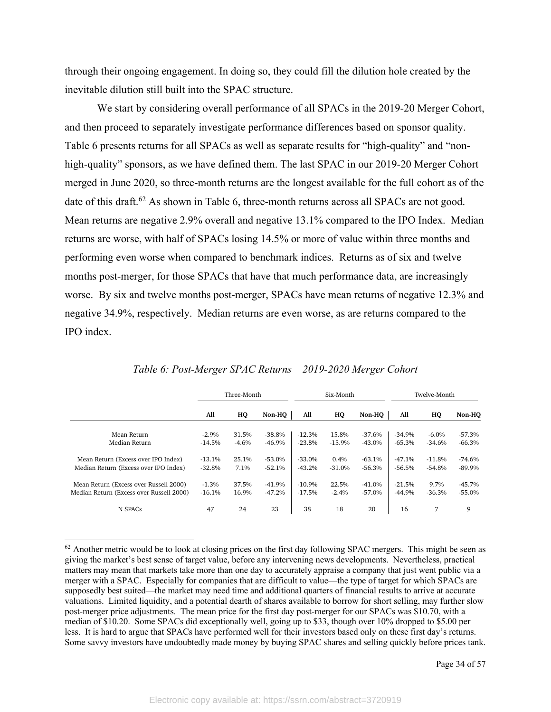through their ongoing engagement. In doing so, they could fill the dilution hole created by the inevitable dilution still built into the SPAC structure.

We start by considering overall performance of all SPACs in the 2019-20 Merger Cohort, and then proceed to separately investigate performance differences based on sponsor quality. Table 6 presents returns for all SPACs as well as separate results for "high-quality" and "nonhigh-quality" sponsors, as we have defined them. The last SPAC in our 2019-20 Merger Cohort merged in June 2020, so three-month returns are the longest available for the full cohort as of the date of this draft.<sup>62</sup> As shown in Table 6, three-month returns across all SPACs are not good. Mean returns are negative 2.9% overall and negative 13.1% compared to the IPO Index. Median returns are worse, with half of SPACs losing 14.5% or more of value within three months and performing even worse when compared to benchmark indices. Returns as of six and twelve months post-merger, for those SPACs that have that much performance data, are increasingly worse. By six and twelve months post-merger, SPACs have mean returns of negative 12.3% and negative 34.9%, respectively. Median returns are even worse, as are returns compared to the IPO index.

|                                          | Three-Month |         | Six-Month |          |          | Twelve-Month |          |          |           |
|------------------------------------------|-------------|---------|-----------|----------|----------|--------------|----------|----------|-----------|
|                                          | All         | HQ      | Non-HO    | All      | HQ       | Non-HO       | All      | HQ       | Non-HO    |
| Mean Return                              | $-2.9\%$    | 31.5%   | $-38.8%$  | $-12.3%$ | 15.8%    | $-37.6%$     | $-34.9%$ | $-6.0\%$ | $-57.3%$  |
| Median Return                            | $-14.5%$    | $-4.6%$ | $-46.9%$  | $-23.8%$ | $-15.9%$ | $-43.0%$     | $-65.3%$ | $-34.6%$ | $-66.3\%$ |
| Mean Return (Excess over IPO Index)      | $-13.1%$    | 25.1%   | $-53.0%$  | $-33.0%$ | 0.4%     | $-63.1%$     | $-47.1%$ | $-11.8%$ | $-74.6%$  |
| Median Return (Excess over IPO Index)    | $-32.8%$    | 7.1%    | $-52.1%$  | $-43.2%$ | $-31.0%$ | -56.3%       | $-56.5%$ | $-54.8%$ | $-89.9\%$ |
| Mean Return (Excess over Russell 2000)   | $-1.3%$     | 37.5%   | $-41.9%$  | $-10.9%$ | 22.5%    | $-41.0%$     | $-21.5%$ | 9.7%     | $-45.7%$  |
| Median Return (Excess over Russell 2000) | $-16.1%$    | 16.9%   | $-47.2%$  | $-17.5%$ | $-2.4%$  | $-57.0\%$    | $-44.9%$ | $-36.3%$ | $-55.0%$  |
| N SPAC <sub>s</sub>                      | 47          | 24      | 23        | 38       | 18       | 20           | 16       | 7        | 9         |

*Table 6: Post-Merger SPAC Returns – 2019-2020 Merger Cohort*

 $62$  Another metric would be to look at closing prices on the first day following SPAC mergers. This might be seen as giving the market's best sense of target value, before any intervening news developments. Nevertheless, practical matters may mean that markets take more than one day to accurately appraise a company that just went public via a merger with a SPAC. Especially for companies that are difficult to value—the type of target for which SPACs are supposedly best suited—the market may need time and additional quarters of financial results to arrive at accurate valuations. Limited liquidity, and a potential dearth of shares available to borrow for short selling, may further slow post-merger price adjustments. The mean price for the first day post-merger for our SPACs was \$10.70, with a median of \$10.20. Some SPACs did exceptionally well, going up to \$33, though over 10% dropped to \$5.00 per less. It is hard to argue that SPACs have performed well for their investors based only on these first day's returns. Some savvy investors have undoubtedly made money by buying SPAC shares and selling quickly before prices tank.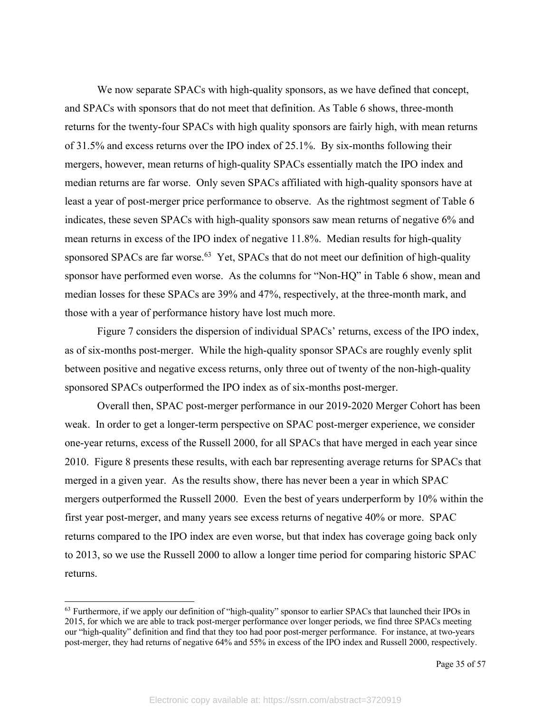We now separate SPACs with high-quality sponsors, as we have defined that concept, and SPACs with sponsors that do not meet that definition. As Table 6 shows, three-month returns for the twenty-four SPACs with high quality sponsors are fairly high, with mean returns of 31.5% and excess returns over the IPO index of 25.1%. By six-months following their mergers, however, mean returns of high-quality SPACs essentially match the IPO index and median returns are far worse. Only seven SPACs affiliated with high-quality sponsors have at least a year of post-merger price performance to observe. As the rightmost segment of Table 6 indicates, these seven SPACs with high-quality sponsors saw mean returns of negative 6% and mean returns in excess of the IPO index of negative 11.8%. Median results for high-quality sponsored SPACs are far worse.<sup>63</sup> Yet, SPACs that do not meet our definition of high-quality sponsor have performed even worse. As the columns for "Non-HQ" in Table 6 show, mean and median losses for these SPACs are 39% and 47%, respectively, at the three-month mark, and those with a year of performance history have lost much more.

Figure 7 considers the dispersion of individual SPACs' returns, excess of the IPO index, as of six-months post-merger. While the high-quality sponsor SPACs are roughly evenly split between positive and negative excess returns, only three out of twenty of the non-high-quality sponsored SPACs outperformed the IPO index as of six-months post-merger.

Overall then, SPAC post-merger performance in our 2019-2020 Merger Cohort has been weak. In order to get a longer-term perspective on SPAC post-merger experience, we consider one-year returns, excess of the Russell 2000, for all SPACs that have merged in each year since 2010. Figure 8 presents these results, with each bar representing average returns for SPACs that merged in a given year. As the results show, there has never been a year in which SPAC mergers outperformed the Russell 2000. Even the best of years underperform by 10% within the first year post-merger, and many years see excess returns of negative 40% or more. SPAC returns compared to the IPO index are even worse, but that index has coverage going back only to 2013, so we use the Russell 2000 to allow a longer time period for comparing historic SPAC returns.

<sup>&</sup>lt;sup>63</sup> Furthermore, if we apply our definition of "high-quality" sponsor to earlier SPACs that launched their IPOs in 2015, for which we are able to track post-merger performance over longer periods, we find three SPACs meeting our "high-quality" definition and find that they too had poor post-merger performance. For instance, at two-years post-merger, they had returns of negative 64% and 55% in excess of the IPO index and Russell 2000, respectively.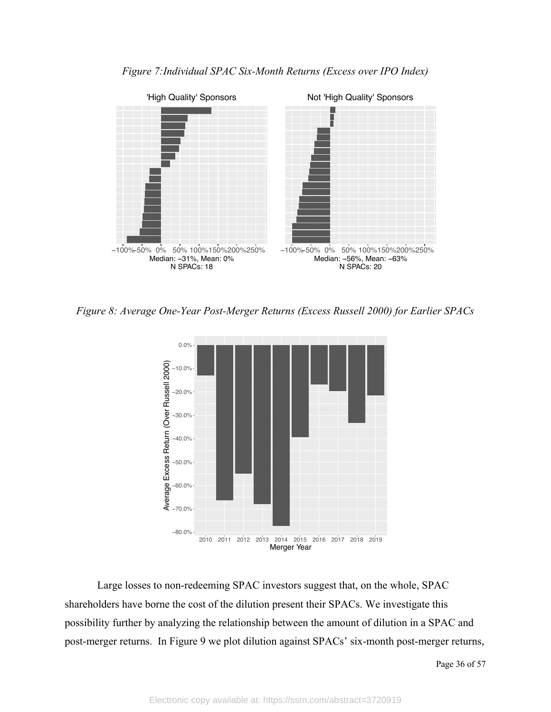

*Figure 7:Individual SPAC Six-Month Returns (Excess over IPO Index)*

*Figure 8: Average One-Year Post-Merger Returns (Excess Russell 2000) for Earlier SPACs*



Large losses to non-redeeming SPAC investors suggest that, on the whole, SPAC shareholders have borne the cost of the dilution present their SPACs. We investigate this possibility further by analyzing the relationship between the amount of dilution in a SPAC and post-merger returns. In Figure 9 we plot dilution against SPACs' six-month post-merger returns,

Page 36 of 57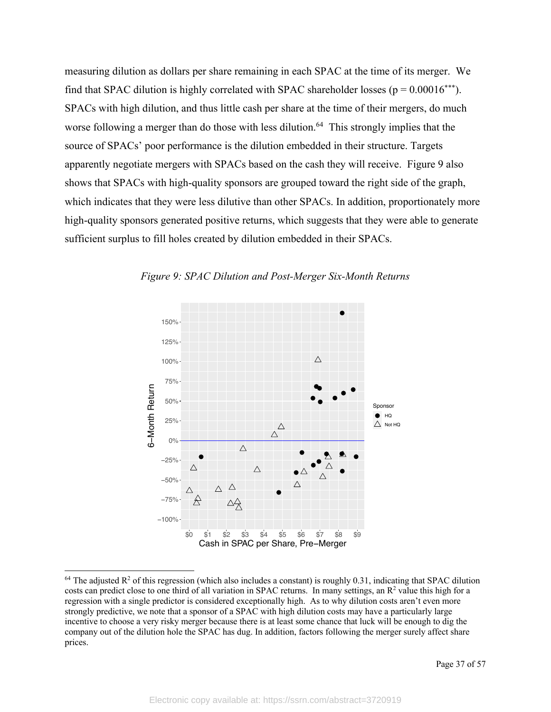measuring dilution as dollars per share remaining in each SPAC at the time of its merger. We find that SPAC dilution is highly correlated with SPAC shareholder losses ( $p = 0.00016***$ ). SPACs with high dilution, and thus little cash per share at the time of their mergers, do much worse following a merger than do those with less dilution.<sup>64</sup> This strongly implies that the source of SPACs' poor performance is the dilution embedded in their structure. Targets apparently negotiate mergers with SPACs based on the cash they will receive. Figure 9 also shows that SPACs with high-quality sponsors are grouped toward the right side of the graph, which indicates that they were less dilutive than other SPACs. In addition, proportionately more high-quality sponsors generated positive returns, which suggests that they were able to generate sufficient surplus to fill holes created by dilution embedded in their SPACs.



*Figure 9: SPAC Dilution and Post-Merger Six-Month Returns*

 $64$  The adjusted R<sup>2</sup> of this regression (which also includes a constant) is roughly 0.31, indicating that SPAC dilution costs can predict close to one third of all variation in SPAC returns. In many settings, an  $R^2$  value this high for a regression with a single predictor is considered exceptionally high. As to why dilution costs aren't even more strongly predictive, we note that a sponsor of a SPAC with high dilution costs may have a particularly large incentive to choose a very risky merger because there is at least some chance that luck will be enough to dig the company out of the dilution hole the SPAC has dug. In addition, factors following the merger surely affect share prices.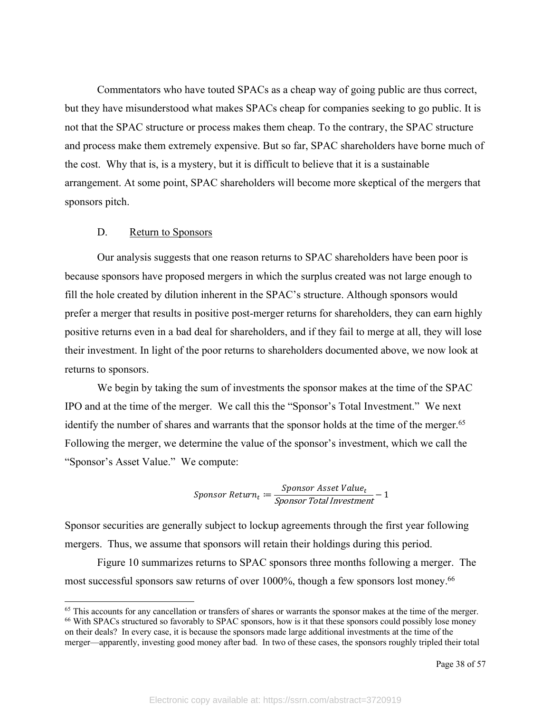Commentators who have touted SPACs as a cheap way of going public are thus correct, but they have misunderstood what makes SPACs cheap for companies seeking to go public. It is not that the SPAC structure or process makes them cheap. To the contrary, the SPAC structure and process make them extremely expensive. But so far, SPAC shareholders have borne much of the cost. Why that is, is a mystery, but it is difficult to believe that it is a sustainable arrangement. At some point, SPAC shareholders will become more skeptical of the mergers that sponsors pitch.

### D. Return to Sponsors

Our analysis suggests that one reason returns to SPAC shareholders have been poor is because sponsors have proposed mergers in which the surplus created was not large enough to fill the hole created by dilution inherent in the SPAC's structure. Although sponsors would prefer a merger that results in positive post-merger returns for shareholders, they can earn highly positive returns even in a bad deal for shareholders, and if they fail to merge at all, they will lose their investment. In light of the poor returns to shareholders documented above, we now look at returns to sponsors.

We begin by taking the sum of investments the sponsor makes at the time of the SPAC IPO and at the time of the merger. We call this the "Sponsor's Total Investment." We next identify the number of shares and warrants that the sponsor holds at the time of the merger.<sup>65</sup> Following the merger, we determine the value of the sponsor's investment, which we call the "Sponsor's Asset Value." We compute:

$$
Sponsor Return_t := \frac{Sponsor Asset Value_t}{Sponsor Total Investment} - 1
$$

Sponsor securities are generally subject to lockup agreements through the first year following mergers. Thus, we assume that sponsors will retain their holdings during this period.

Figure 10 summarizes returns to SPAC sponsors three months following a merger. The most successful sponsors saw returns of over 1000%, though a few sponsors lost money.<sup>66</sup>

 $<sup>65</sup>$  This accounts for any cancellation or transfers of shares or warrants the sponsor makes at the time of the merger.</sup> <sup>66</sup> With SPACs structured so favorably to SPAC sponsors, how is it that these sponsors could possibly lose money on their deals? In every case, it is because the sponsors made large additional investments at the time of the merger—apparently, investing good money after bad. In two of these cases, the sponsors roughly tripled their total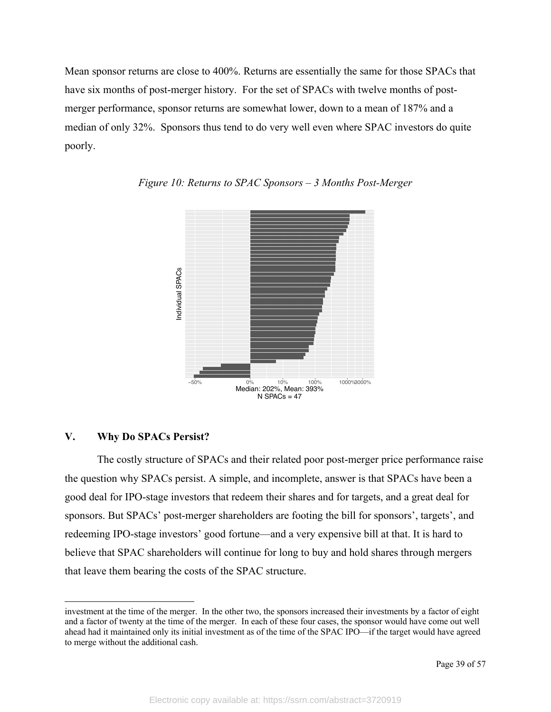Mean sponsor returns are close to 400%. Returns are essentially the same for those SPACs that have six months of post-merger history. For the set of SPACs with twelve months of postmerger performance, sponsor returns are somewhat lower, down to a mean of 187% and a median of only 32%. Sponsors thus tend to do very well even where SPAC investors do quite poorly.





### **V. Why Do SPACs Persist?**

The costly structure of SPACs and their related poor post-merger price performance raise the question why SPACs persist. A simple, and incomplete, answer is that SPACs have been a good deal for IPO-stage investors that redeem their shares and for targets, and a great deal for sponsors. But SPACs' post-merger shareholders are footing the bill for sponsors', targets', and redeeming IPO-stage investors' good fortune—and a very expensive bill at that. It is hard to believe that SPAC shareholders will continue for long to buy and hold shares through mergers that leave them bearing the costs of the SPAC structure.

investment at the time of the merger. In the other two, the sponsors increased their investments by a factor of eight and a factor of twenty at the time of the merger. In each of these four cases, the sponsor would have come out well ahead had it maintained only its initial investment as of the time of the SPAC IPO—if the target would have agreed to merge without the additional cash.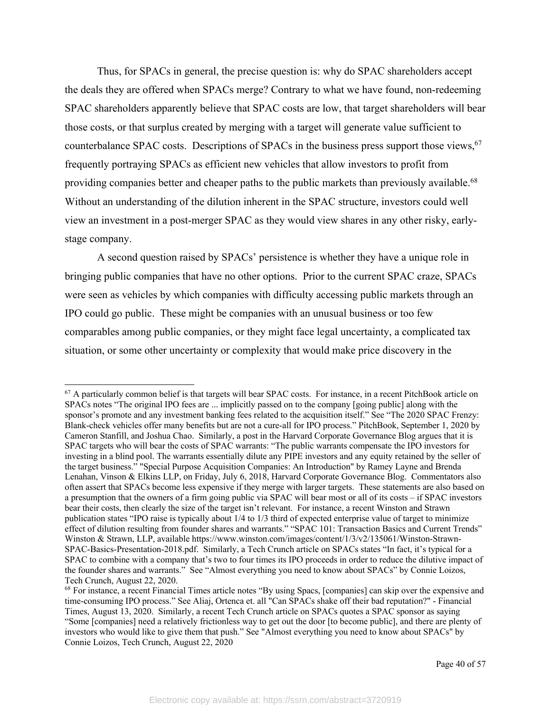Thus, for SPACs in general, the precise question is: why do SPAC shareholders accept the deals they are offered when SPACs merge? Contrary to what we have found, non-redeeming SPAC shareholders apparently believe that SPAC costs are low, that target shareholders will bear those costs, or that surplus created by merging with a target will generate value sufficient to counterbalance SPAC costs. Descriptions of SPACs in the business press support those views,<sup>67</sup> frequently portraying SPACs as efficient new vehicles that allow investors to profit from providing companies better and cheaper paths to the public markets than previously available.<sup>68</sup> Without an understanding of the dilution inherent in the SPAC structure, investors could well view an investment in a post-merger SPAC as they would view shares in any other risky, earlystage company.

A second question raised by SPACs' persistence is whether they have a unique role in bringing public companies that have no other options. Prior to the current SPAC craze, SPACs were seen as vehicles by which companies with difficulty accessing public markets through an IPO could go public. These might be companies with an unusual business or too few comparables among public companies, or they might face legal uncertainty, a complicated tax situation, or some other uncertainty or complexity that would make price discovery in the

<sup>&</sup>lt;sup>67</sup> A particularly common belief is that targets will bear SPAC costs. For instance, in a recent PitchBook article on SPACs notes "The original IPO fees are ... implicitly passed on to the company [going public] along with the sponsor's promote and any investment banking fees related to the acquisition itself." See "The 2020 SPAC Frenzy: Blank-check vehicles offer many benefits but are not a cure-all for IPO process." PitchBook, September 1, 2020 by Cameron Stanfill, and Joshua Chao. Similarly, a post in the Harvard Corporate Governance Blog argues that it is SPAC targets who will bear the costs of SPAC warrants: "The public warrants compensate the IPO investors for investing in a blind pool. The warrants essentially dilute any PIPE investors and any equity retained by the seller of the target business." "Special Purpose Acquisition Companies: An Introduction" by Ramey Layne and Brenda Lenahan, Vinson & Elkins LLP, on Friday, July 6, 2018, Harvard Corporate Governance Blog. Commentators also often assert that SPACs become less expensive if they merge with larger targets. These statements are also based on a presumption that the owners of a firm going public via SPAC will bear most or all of its costs – if SPAC investors bear their costs, then clearly the size of the target isn't relevant. For instance, a recent Winston and Strawn publication states "IPO raise is typically about 1/4 to 1/3 third of expected enterprise value of target to minimize effect of dilution resulting from founder shares and warrants." "SPAC 101: Transaction Basics and Current Trends" Winston & Strawn, LLP, available https://www.winston.com/images/content/1/3/v2/135061/Winston-Strawn-SPAC-Basics-Presentation-2018.pdf. Similarly, a Tech Crunch article on SPACs states "In fact, it's typical for a SPAC to combine with a company that's two to four times its IPO proceeds in order to reduce the dilutive impact of the founder shares and warrants." See "Almost everything you need to know about SPACs" by Connie Loizos, Tech Crunch, August 22, 2020.

<sup>68</sup> For instance, a recent Financial Times article notes "By using Spacs, [companies] can skip over the expensive and time-consuming IPO process." See Aliaj, Ortenca et. all "Can SPACs shake off their bad reputation?" - Financial Times, August 13, 2020. Similarly, a recent Tech Crunch article on SPACs quotes a SPAC sponsor as saying "Some [companies] need a relatively frictionless way to get out the door [to become public], and there are plenty of investors who would like to give them that push." See "Almost everything you need to know about SPACs" by Connie Loizos, Tech Crunch, August 22, 2020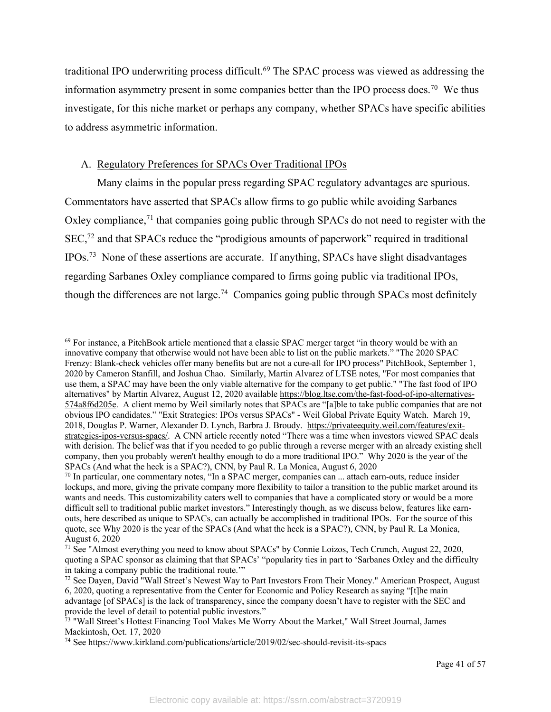traditional IPO underwriting process difficult.<sup>69</sup> The SPAC process was viewed as addressing the information asymmetry present in some companies better than the IPO process does.<sup>70</sup> We thus investigate, for this niche market or perhaps any company, whether SPACs have specific abilities to address asymmetric information.

### A. Regulatory Preferences for SPACs Over Traditional IPOs

Many claims in the popular press regarding SPAC regulatory advantages are spurious. Commentators have asserted that SPACs allow firms to go public while avoiding Sarbanes Oxley compliance,<sup>71</sup> that companies going public through SPACs do not need to register with the SEC,72 and that SPACs reduce the "prodigious amounts of paperwork" required in traditional IPOs.73 None of these assertions are accurate. If anything, SPACs have slight disadvantages regarding Sarbanes Oxley compliance compared to firms going public via traditional IPOs, though the differences are not large.<sup>74</sup> Companies going public through SPACs most definitely

<sup>69</sup> For instance, a PitchBook article mentioned that a classic SPAC merger target "in theory would be with an innovative company that otherwise would not have been able to list on the public markets." "The 2020 SPAC Frenzy: Blank-check vehicles offer many benefits but are not a cure-all for IPO process" PitchBook, September 1, 2020 by Cameron Stanfill, and Joshua Chao. Similarly, Martin Alvarez of LTSE notes, "For most companies that use them, a SPAC may have been the only viable alternative for the company to get public." "The fast food of IPO alternatives" by Martin Alvarez, August 12, 2020 available https://blog.ltse.com/the-fast-food-of-ipo-alternatives-574a8f6d205e. A client memo by Weil similarly notes that SPACs are "[a]ble to take public companies that are not obvious IPO candidates." "Exit Strategies: IPOs versus SPACs" - Weil Global Private Equity Watch. March 19, 2018, Douglas P. Warner, Alexander D. Lynch, Barbra J. Broudy. https://privateequity.weil.com/features/exitstrategies-ipos-versus-spacs/. A CNN article recently noted "There was a time when investors viewed SPAC deals with derision. The belief was that if you needed to go public through a reverse merger with an already existing shell company, then you probably weren't healthy enough to do a more traditional IPO." Why 2020 is the year of the SPACs (And what the heck is a SPAC?), CNN, by Paul R. La Monica, August 6, 2020

<sup>&</sup>lt;sup>70</sup> In particular, one commentary notes, "In a SPAC merger, companies can ... attach earn-outs, reduce insider lockups, and more, giving the private company more flexibility to tailor a transition to the public market around its wants and needs. This customizability caters well to companies that have a complicated story or would be a more difficult sell to traditional public market investors." Interestingly though, as we discuss below, features like earnouts, here described as unique to SPACs, can actually be accomplished in traditional IPOs. For the source of this quote, see Why 2020 is the year of the SPACs (And what the heck is a SPAC?), CNN, by Paul R. La Monica, August 6, 2020

<sup>71</sup> See "Almost everything you need to know about SPACs" by Connie Loizos, Tech Crunch, August 22, 2020, quoting a SPAC sponsor as claiming that that SPACs' "popularity ties in part to 'Sarbanes Oxley and the difficulty in taking a company public the traditional route.'"

<sup>&</sup>lt;sup>72</sup> See Dayen, David "Wall Street's Newest Way to Part Investors From Their Money." American Prospect, August 6, 2020, quoting a representative from the Center for Economic and Policy Research as saying "[t]he main advantage [of SPACs] is the lack of transparency, since the company doesn't have to register with the SEC and provide the level of detail to potential public investors."

<sup>73 &</sup>quot;Wall Street's Hottest Financing Tool Makes Me Worry About the Market," Wall Street Journal, James Mackintosh, Oct. 17, 2020

<sup>74</sup> See https://www.kirkland.com/publications/article/2019/02/sec-should-revisit-its-spacs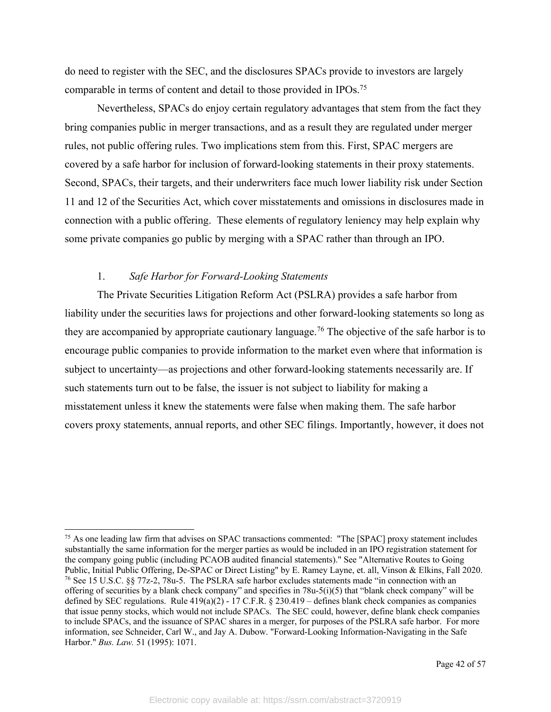do need to register with the SEC, and the disclosures SPACs provide to investors are largely comparable in terms of content and detail to those provided in IPOs.75

Nevertheless, SPACs do enjoy certain regulatory advantages that stem from the fact they bring companies public in merger transactions, and as a result they are regulated under merger rules, not public offering rules. Two implications stem from this. First, SPAC mergers are covered by a safe harbor for inclusion of forward-looking statements in their proxy statements. Second, SPACs, their targets, and their underwriters face much lower liability risk under Section 11 and 12 of the Securities Act, which cover misstatements and omissions in disclosures made in connection with a public offering. These elements of regulatory leniency may help explain why some private companies go public by merging with a SPAC rather than through an IPO.

### 1. *Safe Harbor for Forward-Looking Statements*

The Private Securities Litigation Reform Act (PSLRA) provides a safe harbor from liability under the securities laws for projections and other forward-looking statements so long as they are accompanied by appropriate cautionary language.<sup>76</sup> The objective of the safe harbor is to encourage public companies to provide information to the market even where that information is subject to uncertainty—as projections and other forward-looking statements necessarily are. If such statements turn out to be false, the issuer is not subject to liability for making a misstatement unless it knew the statements were false when making them. The safe harbor covers proxy statements, annual reports, and other SEC filings. Importantly, however, it does not

<sup>&</sup>lt;sup>75</sup> As one leading law firm that advises on SPAC transactions commented: "The [SPAC] proxy statement includes substantially the same information for the merger parties as would be included in an IPO registration statement for the company going public (including PCAOB audited financial statements)." See "Alternative Routes to Going Public, Initial Public Offering, De-SPAC or Direct Listing" by E. Ramey Layne, et. all, Vinson & Elkins, Fall 2020. <sup>76</sup> See 15 U.S.C. §§ 77z-2, 78u-5. The PSLRA safe harbor excludes statements made "in connection with an offering of securities by a blank check company" and specifies in 78u-5(i)(5) that "blank check company" will be defined by SEC regulations. Rule 419(a)(2) - 17 C.F.R. § 230.419 – defines blank check companies as companies that issue penny stocks, which would not include SPACs. The SEC could, however, define blank check companies to include SPACs, and the issuance of SPAC shares in a merger, for purposes of the PSLRA safe harbor. For more information, see Schneider, Carl W., and Jay A. Dubow. "Forward-Looking Information-Navigating in the Safe Harbor." *Bus. Law.* 51 (1995): 1071.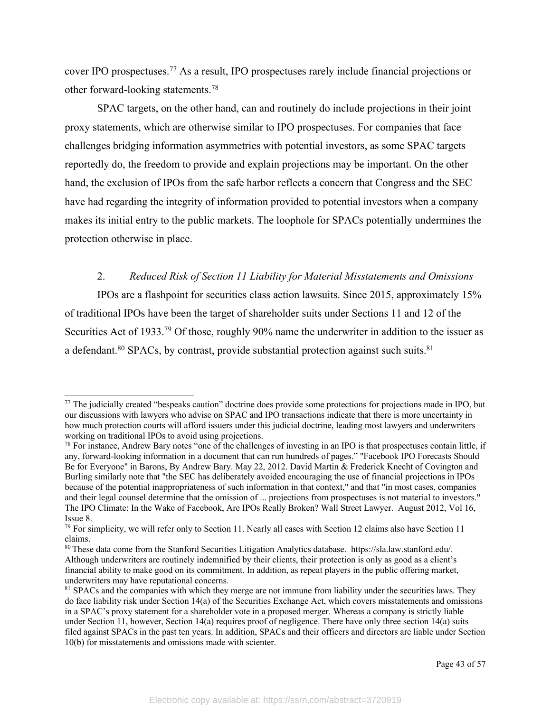cover IPO prospectuses.77 As a result, IPO prospectuses rarely include financial projections or other forward-looking statements.78

SPAC targets, on the other hand, can and routinely do include projections in their joint proxy statements, which are otherwise similar to IPO prospectuses. For companies that face challenges bridging information asymmetries with potential investors, as some SPAC targets reportedly do, the freedom to provide and explain projections may be important. On the other hand, the exclusion of IPOs from the safe harbor reflects a concern that Congress and the SEC have had regarding the integrity of information provided to potential investors when a company makes its initial entry to the public markets. The loophole for SPACs potentially undermines the protection otherwise in place.

2. *Reduced Risk of Section 11 Liability for Material Misstatements and Omissions* IPOs are a flashpoint for securities class action lawsuits. Since 2015, approximately 15% of traditional IPOs have been the target of shareholder suits under Sections 11 and 12 of the Securities Act of 1933.<sup>79</sup> Of those, roughly 90% name the underwriter in addition to the issuer as a defendant.<sup>80</sup> SPACs, by contrast, provide substantial protection against such suits.<sup>81</sup>

 $77$  The judicially created "bespeaks caution" doctrine does provide some protections for projections made in IPO, but our discussions with lawyers who advise on SPAC and IPO transactions indicate that there is more uncertainty in how much protection courts will afford issuers under this judicial doctrine, leading most lawyers and underwriters working on traditional IPOs to avoid using projections.

 $78$  For instance, Andrew Bary notes "one of the challenges of investing in an IPO is that prospectuses contain little, if any, forward-looking information in a document that can run hundreds of pages." "Facebook IPO Forecasts Should Be for Everyone" in Barons, By Andrew Bary. May 22, 2012. David Martin & Frederick Knecht of Covington and Burling similarly note that "the SEC has deliberately avoided encouraging the use of financial projections in IPOs because of the potential inappropriateness of such information in that context," and that "in most cases, companies and their legal counsel determine that the omission of ... projections from prospectuses is not material to investors." The IPO Climate: In the Wake of Facebook, Are IPOs Really Broken? Wall Street Lawyer. August 2012, Vol 16, Issue 8.

 $79$  For simplicity, we will refer only to Section 11. Nearly all cases with Section 12 claims also have Section 11 claims.

<sup>80</sup> These data come from the Stanford Securities Litigation Analytics database. https://sla.law.stanford.edu/. Although underwriters are routinely indemnified by their clients, their protection is only as good as a client's financial ability to make good on its commitment. In addition, as repeat players in the public offering market, underwriters may have reputational concerns.

<sup>&</sup>lt;sup>81</sup> SPACs and the companies with which they merge are not immune from liability under the securities laws. They do face liability risk under Section 14(a) of the Securities Exchange Act, which covers misstatements and omissions in a SPAC's proxy statement for a shareholder vote in a proposed merger. Whereas a company is strictly liable under Section 11, however, Section 14(a) requires proof of negligence. There have only three section 14(a) suits filed against SPACs in the past ten years. In addition, SPACs and their officers and directors are liable under Section 10(b) for misstatements and omissions made with scienter.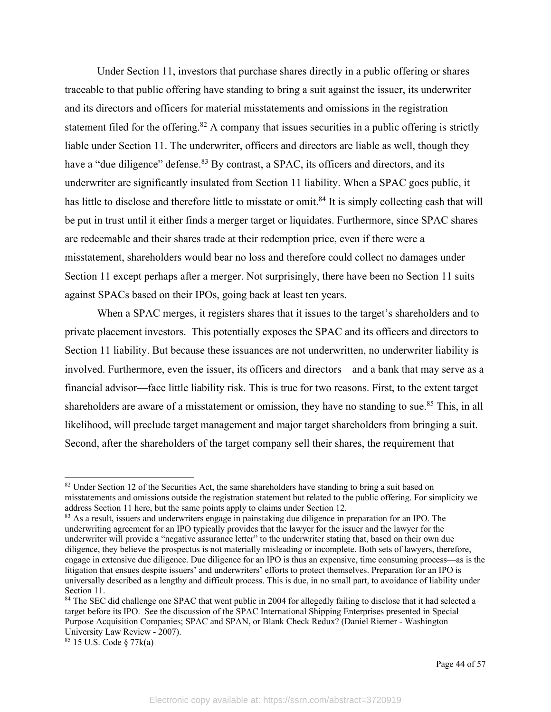Under Section 11, investors that purchase shares directly in a public offering or shares traceable to that public offering have standing to bring a suit against the issuer, its underwriter and its directors and officers for material misstatements and omissions in the registration statement filed for the offering.<sup>82</sup> A company that issues securities in a public offering is strictly liable under Section 11. The underwriter, officers and directors are liable as well, though they have a "due diligence" defense.<sup>83</sup> By contrast, a SPAC, its officers and directors, and its underwriter are significantly insulated from Section 11 liability. When a SPAC goes public, it has little to disclose and therefore little to misstate or omit.<sup>84</sup> It is simply collecting cash that will be put in trust until it either finds a merger target or liquidates. Furthermore, since SPAC shares are redeemable and their shares trade at their redemption price, even if there were a misstatement, shareholders would bear no loss and therefore could collect no damages under Section 11 except perhaps after a merger. Not surprisingly, there have been no Section 11 suits against SPACs based on their IPOs, going back at least ten years.

When a SPAC merges, it registers shares that it issues to the target's shareholders and to private placement investors. This potentially exposes the SPAC and its officers and directors to Section 11 liability. But because these issuances are not underwritten, no underwriter liability is involved. Furthermore, even the issuer, its officers and directors—and a bank that may serve as a financial advisor—face little liability risk. This is true for two reasons. First, to the extent target shareholders are aware of a misstatement or omission, they have no standing to sue.<sup>85</sup> This, in all likelihood, will preclude target management and major target shareholders from bringing a suit. Second, after the shareholders of the target company sell their shares, the requirement that

<sup>&</sup>lt;sup>82</sup> Under Section 12 of the Securities Act, the same shareholders have standing to bring a suit based on misstatements and omissions outside the registration statement but related to the public offering. For simplicity we address Section 11 here, but the same points apply to claims under Section 12.

<sup>&</sup>lt;sup>83</sup> As a result, issuers and underwriters engage in painstaking due diligence in preparation for an IPO. The underwriting agreement for an IPO typically provides that the lawyer for the issuer and the lawyer for the underwriter will provide a "negative assurance letter" to the underwriter stating that, based on their own due diligence, they believe the prospectus is not materially misleading or incomplete. Both sets of lawyers, therefore, engage in extensive due diligence. Due diligence for an IPO is thus an expensive, time consuming process—as is the litigation that ensues despite issuers' and underwriters' efforts to protect themselves. Preparation for an IPO is universally described as a lengthy and difficult process. This is due, in no small part, to avoidance of liability under Section 11.

<sup>&</sup>lt;sup>84</sup> The SEC did challenge one SPAC that went public in 2004 for allegedly failing to disclose that it had selected a target before its IPO. See the discussion of the SPAC International Shipping Enterprises presented in Special Purpose Acquisition Companies; SPAC and SPAN, or Blank Check Redux? (Daniel Riemer - Washington University Law Review - 2007).<br><sup>85</sup> 15 U.S. Code § 77 $k(a)$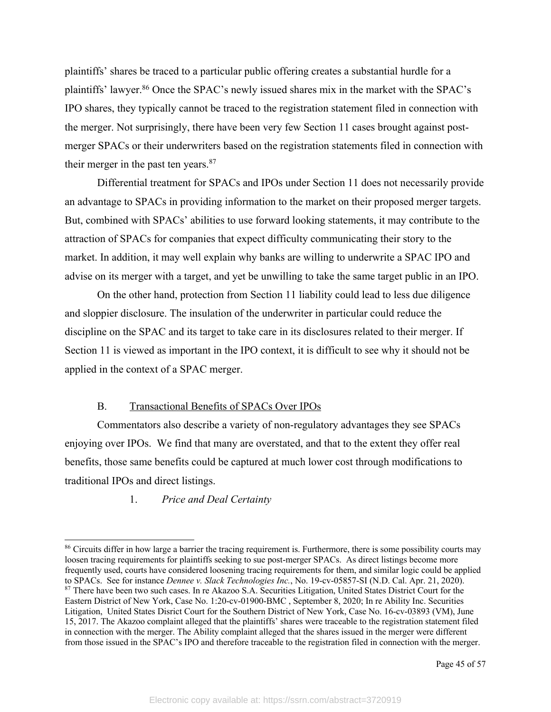plaintiffs' shares be traced to a particular public offering creates a substantial hurdle for a plaintiffs' lawyer.86 Once the SPAC's newly issued shares mix in the market with the SPAC's IPO shares, they typically cannot be traced to the registration statement filed in connection with the merger. Not surprisingly, there have been very few Section 11 cases brought against postmerger SPACs or their underwriters based on the registration statements filed in connection with their merger in the past ten years. $87$ 

Differential treatment for SPACs and IPOs under Section 11 does not necessarily provide an advantage to SPACs in providing information to the market on their proposed merger targets. But, combined with SPACs' abilities to use forward looking statements, it may contribute to the attraction of SPACs for companies that expect difficulty communicating their story to the market. In addition, it may well explain why banks are willing to underwrite a SPAC IPO and advise on its merger with a target, and yet be unwilling to take the same target public in an IPO.

On the other hand, protection from Section 11 liability could lead to less due diligence and sloppier disclosure. The insulation of the underwriter in particular could reduce the discipline on the SPAC and its target to take care in its disclosures related to their merger. If Section 11 is viewed as important in the IPO context, it is difficult to see why it should not be applied in the context of a SPAC merger.

### B. Transactional Benefits of SPACs Over IPOs

Commentators also describe a variety of non-regulatory advantages they see SPACs enjoying over IPOs. We find that many are overstated, and that to the extent they offer real benefits, those same benefits could be captured at much lower cost through modifications to traditional IPOs and direct listings.

## 1. *Price and Deal Certainty*

<sup>&</sup>lt;sup>86</sup> Circuits differ in how large a barrier the tracing requirement is. Furthermore, there is some possibility courts may loosen tracing requirements for plaintiffs seeking to sue post-merger SPACs. As direct listings become more frequently used, courts have considered loosening tracing requirements for them, and similar logic could be applied to SPACs. See for instance *Dennee v. Slack Technologies Inc.*, No. 19-cv-05857-SI (N.D. Cal. Apr. 21, 2020). <sup>87</sup> There have been two such cases. In re Akazoo S.A. Securities Litigation, United States District Court for the Eastern District of New York, Case No. 1:20-cv-01900-BMC , September 8, 2020; In re Ability Inc. Securities Litigation, United States Disrict Court for the Southern District of New York, Case No. 16-cv-03893 (VM), June 15, 2017. The Akazoo complaint alleged that the plaintiffs' shares were traceable to the registration statement filed in connection with the merger. The Ability complaint alleged that the shares issued in the merger were different from those issued in the SPAC's IPO and therefore traceable to the registration filed in connection with the merger.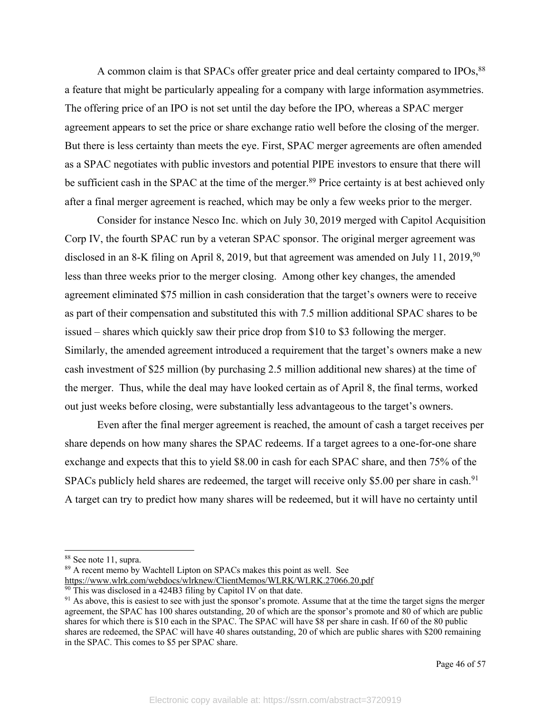A common claim is that SPACs offer greater price and deal certainty compared to IPOs,<sup>88</sup> a feature that might be particularly appealing for a company with large information asymmetries. The offering price of an IPO is not set until the day before the IPO, whereas a SPAC merger agreement appears to set the price or share exchange ratio well before the closing of the merger. But there is less certainty than meets the eye. First, SPAC merger agreements are often amended as a SPAC negotiates with public investors and potential PIPE investors to ensure that there will be sufficient cash in the SPAC at the time of the merger.<sup>89</sup> Price certainty is at best achieved only after a final merger agreement is reached, which may be only a few weeks prior to the merger.

Consider for instance Nesco Inc. which on July 30, 2019 merged with Capitol Acquisition Corp IV, the fourth SPAC run by a veteran SPAC sponsor. The original merger agreement was disclosed in an 8-K filing on April 8, 2019, but that agreement was amended on July 11, 2019,<sup>90</sup> less than three weeks prior to the merger closing. Among other key changes, the amended agreement eliminated \$75 million in cash consideration that the target's owners were to receive as part of their compensation and substituted this with 7.5 million additional SPAC shares to be issued – shares which quickly saw their price drop from \$10 to \$3 following the merger. Similarly, the amended agreement introduced a requirement that the target's owners make a new cash investment of \$25 million (by purchasing 2.5 million additional new shares) at the time of the merger. Thus, while the deal may have looked certain as of April 8, the final terms, worked out just weeks before closing, were substantially less advantageous to the target's owners.

Even after the final merger agreement is reached, the amount of cash a target receives per share depends on how many shares the SPAC redeems. If a target agrees to a one-for-one share exchange and expects that this to yield \$8.00 in cash for each SPAC share, and then 75% of the SPACs publicly held shares are redeemed, the target will receive only \$5.00 per share in cash.<sup>91</sup> A target can try to predict how many shares will be redeemed, but it will have no certainty until

<sup>89</sup> A recent memo by Wachtell Lipton on SPACs makes this point as well. See https://www.wlrk.com/webdocs/wlrknew/ClientMemos/WLRK/WLRK.27066.20.pdf

<sup>88</sup> See note 11, supra.

 $\frac{90}{20}$  This was disclosed in a 424B3 filing by Capitol IV on that date.

 $91$  As above, this is easiest to see with just the sponsor's promote. Assume that at the time the target signs the merger agreement, the SPAC has 100 shares outstanding, 20 of which are the sponsor's promote and 80 of which are public shares for which there is \$10 each in the SPAC. The SPAC will have \$8 per share in cash. If 60 of the 80 public shares are redeemed, the SPAC will have 40 shares outstanding, 20 of which are public shares with \$200 remaining in the SPAC. This comes to \$5 per SPAC share.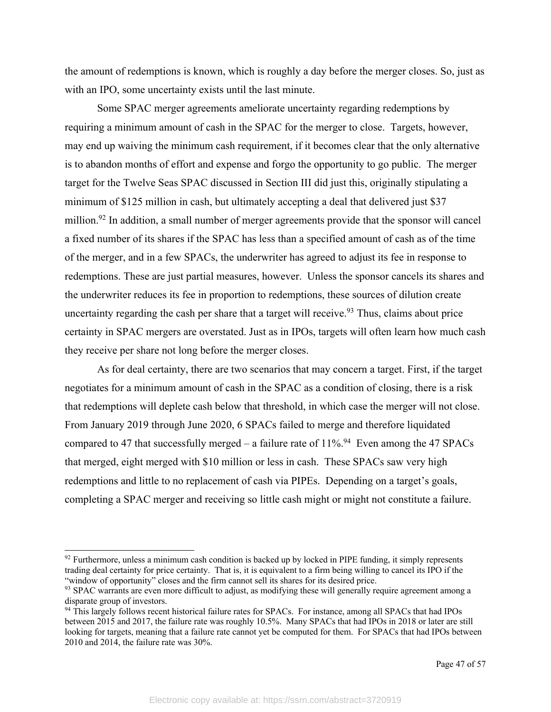the amount of redemptions is known, which is roughly a day before the merger closes. So, just as with an IPO, some uncertainty exists until the last minute.

Some SPAC merger agreements ameliorate uncertainty regarding redemptions by requiring a minimum amount of cash in the SPAC for the merger to close. Targets, however, may end up waiving the minimum cash requirement, if it becomes clear that the only alternative is to abandon months of effort and expense and forgo the opportunity to go public. The merger target for the Twelve Seas SPAC discussed in Section III did just this, originally stipulating a minimum of \$125 million in cash, but ultimately accepting a deal that delivered just \$37 million.<sup>92</sup> In addition, a small number of merger agreements provide that the sponsor will cancel a fixed number of its shares if the SPAC has less than a specified amount of cash as of the time of the merger, and in a few SPACs, the underwriter has agreed to adjust its fee in response to redemptions. These are just partial measures, however. Unless the sponsor cancels its shares and the underwriter reduces its fee in proportion to redemptions, these sources of dilution create uncertainty regarding the cash per share that a target will receive.<sup>93</sup> Thus, claims about price certainty in SPAC mergers are overstated. Just as in IPOs, targets will often learn how much cash they receive per share not long before the merger closes.

As for deal certainty, there are two scenarios that may concern a target. First, if the target negotiates for a minimum amount of cash in the SPAC as a condition of closing, there is a risk that redemptions will deplete cash below that threshold, in which case the merger will not close. From January 2019 through June 2020, 6 SPACs failed to merge and therefore liquidated compared to 47 that successfully merged – a failure rate of  $11\%$ <sup>94</sup> Even among the 47 SPACs that merged, eight merged with \$10 million or less in cash. These SPACs saw very high redemptions and little to no replacement of cash via PIPEs. Depending on a target's goals, completing a SPAC merger and receiving so little cash might or might not constitute a failure.

<sup>&</sup>lt;sup>92</sup> Furthermore, unless a minimum cash condition is backed up by locked in PIPE funding, it simply represents trading deal certainty for price certainty. That is, it is equivalent to a firm being willing to cancel its IPO if the "window of opportunity" closes and the firm cannot sell its shares for its desired price.

<sup>&</sup>lt;sup>93</sup> SPAC warrants are even more difficult to adjust, as modifying these will generally require agreement among a disparate group of investors.

<sup>&</sup>lt;sup>94</sup> This largely follows recent historical failure rates for SPACs. For instance, among all SPACs that had IPOs between 2015 and 2017, the failure rate was roughly 10.5%. Many SPACs that had IPOs in 2018 or later are still looking for targets, meaning that a failure rate cannot yet be computed for them. For SPACs that had IPOs between 2010 and 2014, the failure rate was 30%.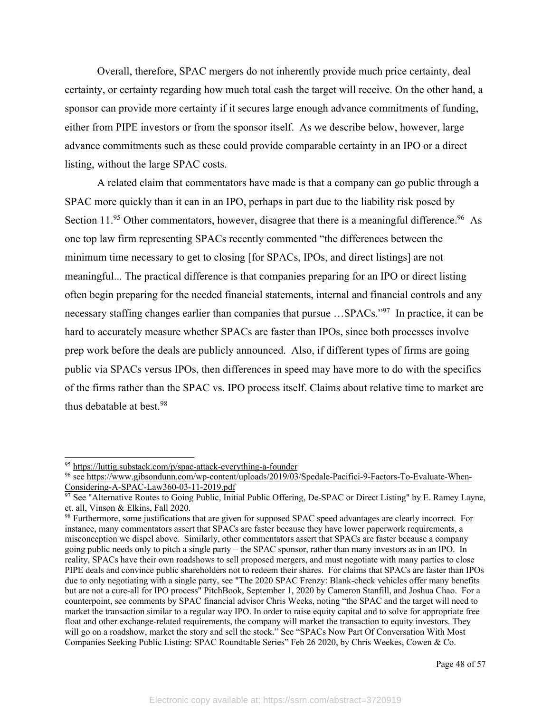Overall, therefore, SPAC mergers do not inherently provide much price certainty, deal certainty, or certainty regarding how much total cash the target will receive. On the other hand, a sponsor can provide more certainty if it secures large enough advance commitments of funding, either from PIPE investors or from the sponsor itself. As we describe below, however, large advance commitments such as these could provide comparable certainty in an IPO or a direct listing, without the large SPAC costs.

A related claim that commentators have made is that a company can go public through a SPAC more quickly than it can in an IPO, perhaps in part due to the liability risk posed by Section 11.<sup>95</sup> Other commentators, however, disagree that there is a meaningful difference.<sup>96</sup> As one top law firm representing SPACs recently commented "the differences between the minimum time necessary to get to closing [for SPACs, IPOs, and direct listings] are not meaningful... The practical difference is that companies preparing for an IPO or direct listing often begin preparing for the needed financial statements, internal and financial controls and any necessary staffing changes earlier than companies that pursue ... SPACs."<sup>97</sup> In practice, it can be hard to accurately measure whether SPACs are faster than IPOs, since both processes involve prep work before the deals are publicly announced. Also, if different types of firms are going public via SPACs versus IPOs, then differences in speed may have more to do with the specifics of the firms rather than the SPAC vs. IPO process itself. Claims about relative time to market are thus debatable at best.98

<sup>95</sup> https://luttig.substack.com/p/spac-attack-everything-a-founder

<sup>96</sup> see https://www.gibsondunn.com/wp-content/uploads/2019/03/Spedale-Pacifici-9-Factors-To-Evaluate-When-Considering-A-SPAC-Law360-03-11-2019.pdf

<sup>&</sup>lt;sup>97</sup> See "Alternative Routes to Going Public, Initial Public Offering, De-SPAC or Direct Listing" by E. Ramey Layne, et. all, Vinson & Elkins, Fall 2020.

<sup>98</sup> Furthermore, some justifications that are given for supposed SPAC speed advantages are clearly incorrect. For instance, many commentators assert that SPACs are faster because they have lower paperwork requirements, a misconception we dispel above. Similarly, other commentators assert that SPACs are faster because a company going public needs only to pitch a single party – the SPAC sponsor, rather than many investors as in an IPO. In reality, SPACs have their own roadshows to sell proposed mergers, and must negotiate with many parties to close PIPE deals and convince public shareholders not to redeem their shares. For claims that SPACs are faster than IPOs due to only negotiating with a single party, see "The 2020 SPAC Frenzy: Blank-check vehicles offer many benefits but are not a cure-all for IPO process" PitchBook, September 1, 2020 by Cameron Stanfill, and Joshua Chao. For a counterpoint, see comments by SPAC financial advisor Chris Weeks, noting "the SPAC and the target will need to market the transaction similar to a regular way IPO. In order to raise equity capital and to solve for appropriate free float and other exchange-related requirements, the company will market the transaction to equity investors. They will go on a roadshow, market the story and sell the stock." See "SPACs Now Part Of Conversation With Most Companies Seeking Public Listing: SPAC Roundtable Series" Feb 26 2020, by Chris Weekes, Cowen & Co.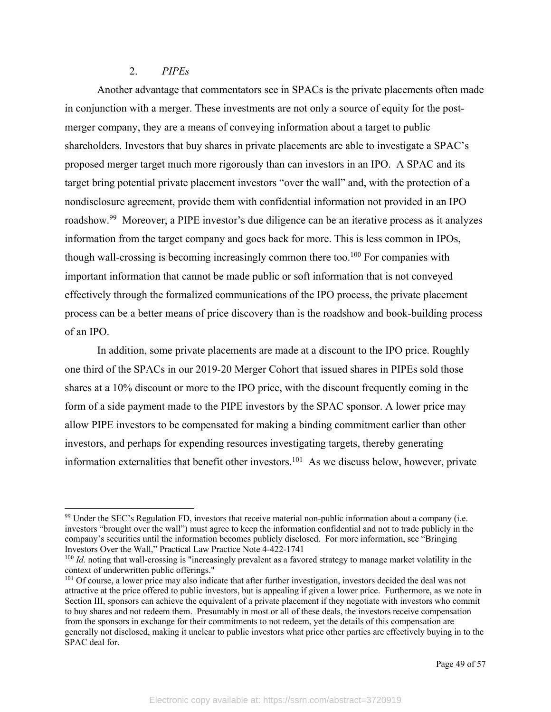### 2. *PIPEs*

Another advantage that commentators see in SPACs is the private placements often made in conjunction with a merger. These investments are not only a source of equity for the postmerger company, they are a means of conveying information about a target to public shareholders. Investors that buy shares in private placements are able to investigate a SPAC's proposed merger target much more rigorously than can investors in an IPO. A SPAC and its target bring potential private placement investors "over the wall" and, with the protection of a nondisclosure agreement, provide them with confidential information not provided in an IPO roadshow.99 Moreover, a PIPE investor's due diligence can be an iterative process as it analyzes information from the target company and goes back for more. This is less common in IPOs, though wall-crossing is becoming increasingly common there too.100 For companies with important information that cannot be made public or soft information that is not conveyed effectively through the formalized communications of the IPO process, the private placement process can be a better means of price discovery than is the roadshow and book-building process of an IPO.

In addition, some private placements are made at a discount to the IPO price. Roughly one third of the SPACs in our 2019-20 Merger Cohort that issued shares in PIPEs sold those shares at a 10% discount or more to the IPO price, with the discount frequently coming in the form of a side payment made to the PIPE investors by the SPAC sponsor. A lower price may allow PIPE investors to be compensated for making a binding commitment earlier than other investors, and perhaps for expending resources investigating targets, thereby generating information externalities that benefit other investors.<sup>101</sup> As we discuss below, however, private

<sup>&</sup>lt;sup>99</sup> Under the SEC's Regulation FD, investors that receive material non-public information about a company (i.e. investors "brought over the wall") must agree to keep the information confidential and not to trade publicly in the company's securities until the information becomes publicly disclosed. For more information, see "Bringing Investors Over the Wall," Practical Law Practice Note 4-422-1741

<sup>&</sup>lt;sup>100</sup> *Id.* noting that wall-crossing is "increasingly prevalent as a favored strategy to manage market volatility in the context of underwritten public offerings."

<sup>&</sup>lt;sup>101</sup> Of course, a lower price may also indicate that after further investigation, investors decided the deal was not attractive at the price offered to public investors, but is appealing if given a lower price. Furthermore, as we note in Section III, sponsors can achieve the equivalent of a private placement if they negotiate with investors who commit to buy shares and not redeem them. Presumably in most or all of these deals, the investors receive compensation from the sponsors in exchange for their commitments to not redeem, yet the details of this compensation are generally not disclosed, making it unclear to public investors what price other parties are effectively buying in to the SPAC deal for.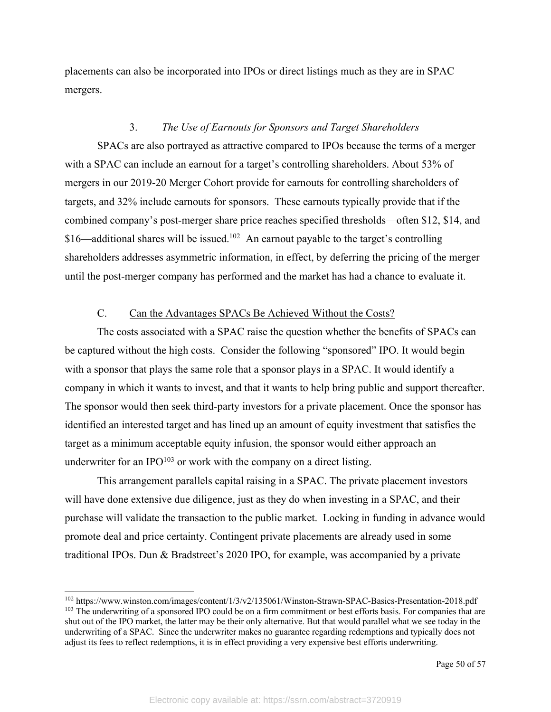placements can also be incorporated into IPOs or direct listings much as they are in SPAC mergers.

#### 3. *The Use of Earnouts for Sponsors and Target Shareholders*

SPACs are also portrayed as attractive compared to IPOs because the terms of a merger with a SPAC can include an earnout for a target's controlling shareholders. About 53% of mergers in our 2019-20 Merger Cohort provide for earnouts for controlling shareholders of targets, and 32% include earnouts for sponsors. These earnouts typically provide that if the combined company's post-merger share price reaches specified thresholds—often \$12, \$14, and  $$16$ —additional shares will be issued.<sup>102</sup> An earnout payable to the target's controlling shareholders addresses asymmetric information, in effect, by deferring the pricing of the merger until the post-merger company has performed and the market has had a chance to evaluate it.

# C. Can the Advantages SPACs Be Achieved Without the Costs?

The costs associated with a SPAC raise the question whether the benefits of SPACs can be captured without the high costs. Consider the following "sponsored" IPO. It would begin with a sponsor that plays the same role that a sponsor plays in a SPAC. It would identify a company in which it wants to invest, and that it wants to help bring public and support thereafter. The sponsor would then seek third-party investors for a private placement. Once the sponsor has identified an interested target and has lined up an amount of equity investment that satisfies the target as a minimum acceptable equity infusion, the sponsor would either approach an underwriter for an IPO $103$  or work with the company on a direct listing.

This arrangement parallels capital raising in a SPAC. The private placement investors will have done extensive due diligence, just as they do when investing in a SPAC, and their purchase will validate the transaction to the public market. Locking in funding in advance would promote deal and price certainty. Contingent private placements are already used in some traditional IPOs. Dun & Bradstreet's 2020 IPO, for example, was accompanied by a private

<sup>102</sup> https://www.winston.com/images/content/1/3/v2/135061/Winston-Strawn-SPAC-Basics-Presentation-2018.pdf <sup>103</sup> The underwriting of a sponsored IPO could be on a firm commitment or best efforts basis. For companies that are shut out of the IPO market, the latter may be their only alternative. But that would parallel what we see today in the underwriting of a SPAC. Since the underwriter makes no guarantee regarding redemptions and typically does not adjust its fees to reflect redemptions, it is in effect providing a very expensive best efforts underwriting.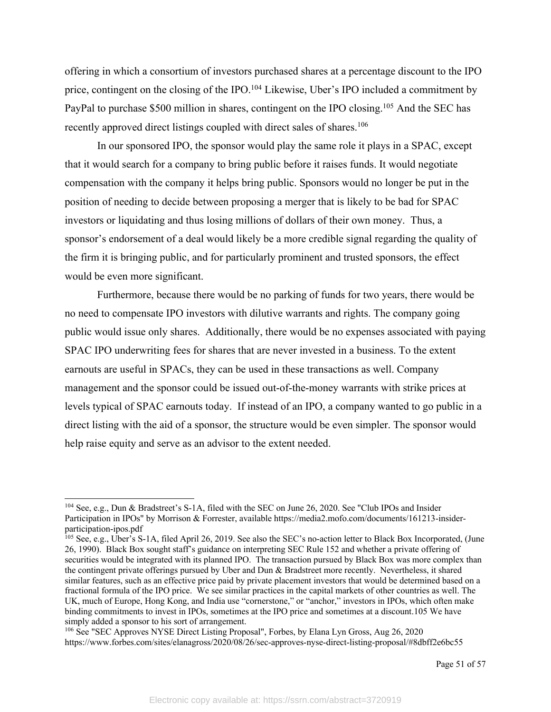offering in which a consortium of investors purchased shares at a percentage discount to the IPO price, contingent on the closing of the IPO.<sup>104</sup> Likewise, Uber's IPO included a commitment by PayPal to purchase \$500 million in shares, contingent on the IPO closing.<sup>105</sup> And the SEC has recently approved direct listings coupled with direct sales of shares.<sup>106</sup>

In our sponsored IPO, the sponsor would play the same role it plays in a SPAC, except that it would search for a company to bring public before it raises funds. It would negotiate compensation with the company it helps bring public. Sponsors would no longer be put in the position of needing to decide between proposing a merger that is likely to be bad for SPAC investors or liquidating and thus losing millions of dollars of their own money. Thus, a sponsor's endorsement of a deal would likely be a more credible signal regarding the quality of the firm it is bringing public, and for particularly prominent and trusted sponsors, the effect would be even more significant.

Furthermore, because there would be no parking of funds for two years, there would be no need to compensate IPO investors with dilutive warrants and rights. The company going public would issue only shares. Additionally, there would be no expenses associated with paying SPAC IPO underwriting fees for shares that are never invested in a business. To the extent earnouts are useful in SPACs, they can be used in these transactions as well. Company management and the sponsor could be issued out-of-the-money warrants with strike prices at levels typical of SPAC earnouts today. If instead of an IPO, a company wanted to go public in a direct listing with the aid of a sponsor, the structure would be even simpler. The sponsor would help raise equity and serve as an advisor to the extent needed.

<sup>104</sup> See, e.g., Dun & Bradstreet's S-1A, filed with the SEC on June 26, 2020. See "Club IPOs and Insider Participation in IPOs" by Morrison & Forrester, available https://media2.mofo.com/documents/161213-insiderparticipation-ipos.pdf

<sup>&</sup>lt;sup>105</sup> See, e.g., Uber's S-1A, filed April 26, 2019. See also the SEC's no-action letter to Black Box Incorporated, (June 26, 1990). Black Box sought staff's guidance on interpreting SEC Rule 152 and whether a private offering of securities would be integrated with its planned IPO. The transaction pursued by Black Box was more complex than the contingent private offerings pursued by Uber and Dun & Bradstreet more recently. Nevertheless, it shared similar features, such as an effective price paid by private placement investors that would be determined based on a fractional formula of the IPO price. We see similar practices in the capital markets of other countries as well. The UK, much of Europe, Hong Kong, and India use "cornerstone," or "anchor," investors in IPOs, which often make binding commitments to invest in IPOs, sometimes at the IPO price and sometimes at a discount.105 We have simply added a sponsor to his sort of arrangement.

<sup>106</sup> See "SEC Approves NYSE Direct Listing Proposal", Forbes, by Elana Lyn Gross, Aug 26, 2020 https://www.forbes.com/sites/elanagross/2020/08/26/sec-approves-nyse-direct-listing-proposal/#8dbff2e6bc55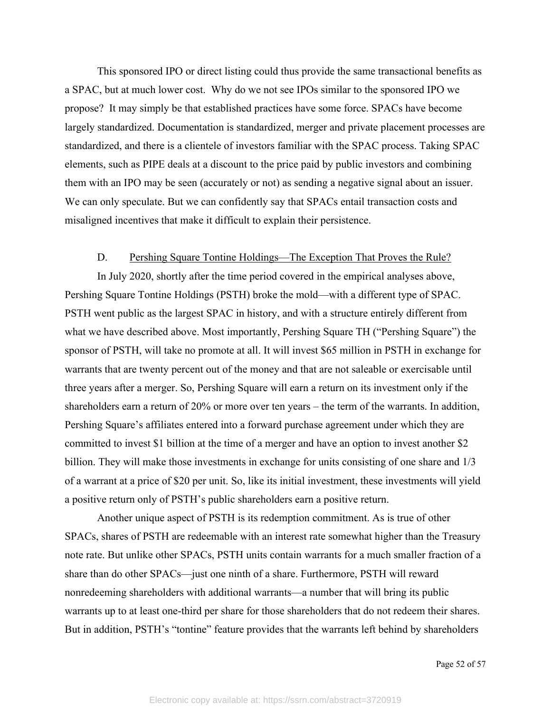This sponsored IPO or direct listing could thus provide the same transactional benefits as a SPAC, but at much lower cost. Why do we not see IPOs similar to the sponsored IPO we propose? It may simply be that established practices have some force. SPACs have become largely standardized. Documentation is standardized, merger and private placement processes are standardized, and there is a clientele of investors familiar with the SPAC process. Taking SPAC elements, such as PIPE deals at a discount to the price paid by public investors and combining them with an IPO may be seen (accurately or not) as sending a negative signal about an issuer. We can only speculate. But we can confidently say that SPACs entail transaction costs and misaligned incentives that make it difficult to explain their persistence.

#### D. Pershing Square Tontine Holdings—The Exception That Proves the Rule?

In July 2020, shortly after the time period covered in the empirical analyses above, Pershing Square Tontine Holdings (PSTH) broke the mold—with a different type of SPAC. PSTH went public as the largest SPAC in history, and with a structure entirely different from what we have described above. Most importantly, Pershing Square TH ("Pershing Square") the sponsor of PSTH, will take no promote at all. It will invest \$65 million in PSTH in exchange for warrants that are twenty percent out of the money and that are not saleable or exercisable until three years after a merger. So, Pershing Square will earn a return on its investment only if the shareholders earn a return of 20% or more over ten years – the term of the warrants. In addition, Pershing Square's affiliates entered into a forward purchase agreement under which they are committed to invest \$1 billion at the time of a merger and have an option to invest another \$2 billion. They will make those investments in exchange for units consisting of one share and 1/3 of a warrant at a price of \$20 per unit. So, like its initial investment, these investments will yield a positive return only of PSTH's public shareholders earn a positive return.

Another unique aspect of PSTH is its redemption commitment. As is true of other SPACs, shares of PSTH are redeemable with an interest rate somewhat higher than the Treasury note rate. But unlike other SPACs, PSTH units contain warrants for a much smaller fraction of a share than do other SPACs—just one ninth of a share. Furthermore, PSTH will reward nonredeeming shareholders with additional warrants—a number that will bring its public warrants up to at least one-third per share for those shareholders that do not redeem their shares. But in addition, PSTH's "tontine" feature provides that the warrants left behind by shareholders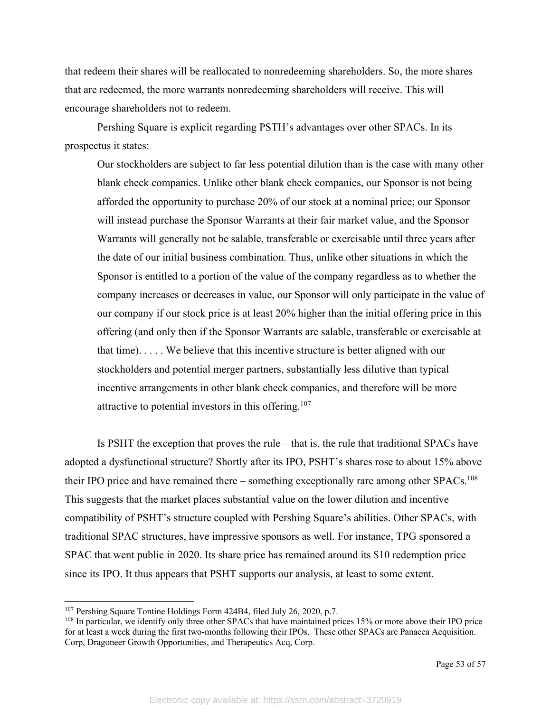that redeem their shares will be reallocated to nonredeeming shareholders. So, the more shares that are redeemed, the more warrants nonredeeming shareholders will receive. This will encourage shareholders not to redeem.

Pershing Square is explicit regarding PSTH's advantages over other SPACs. In its prospectus it states:

Our stockholders are subject to far less potential dilution than is the case with many other blank check companies. Unlike other blank check companies, our Sponsor is not being afforded the opportunity to purchase 20% of our stock at a nominal price; our Sponsor will instead purchase the Sponsor Warrants at their fair market value, and the Sponsor Warrants will generally not be salable, transferable or exercisable until three years after the date of our initial business combination. Thus, unlike other situations in which the Sponsor is entitled to a portion of the value of the company regardless as to whether the company increases or decreases in value, our Sponsor will only participate in the value of our company if our stock price is at least 20% higher than the initial offering price in this offering (and only then if the Sponsor Warrants are salable, transferable or exercisable at that time). . . . . We believe that this incentive structure is better aligned with our stockholders and potential merger partners, substantially less dilutive than typical incentive arrangements in other blank check companies, and therefore will be more attractive to potential investors in this offering.<sup>107</sup>

Is PSHT the exception that proves the rule—that is, the rule that traditional SPACs have adopted a dysfunctional structure? Shortly after its IPO, PSHT's shares rose to about 15% above their IPO price and have remained there – something exceptionally rare among other SPACs.<sup>108</sup> This suggests that the market places substantial value on the lower dilution and incentive compatibility of PSHT's structure coupled with Pershing Square's abilities. Other SPACs, with traditional SPAC structures, have impressive sponsors as well. For instance, TPG sponsored a SPAC that went public in 2020. Its share price has remained around its \$10 redemption price since its IPO. It thus appears that PSHT supports our analysis, at least to some extent.

<sup>&</sup>lt;sup>107</sup> Pershing Square Tontine Holdings Form 424B4, filed July 26, 2020, p.7.

<sup>108</sup> In particular, we identify only three other SPACs that have maintained prices 15% or more above their IPO price for at least a week during the first two-months following their IPOs. These other SPACs are Panacea Acquisition. Corp, Dragoneer Growth Opportunities, and Therapeutics Acq, Corp.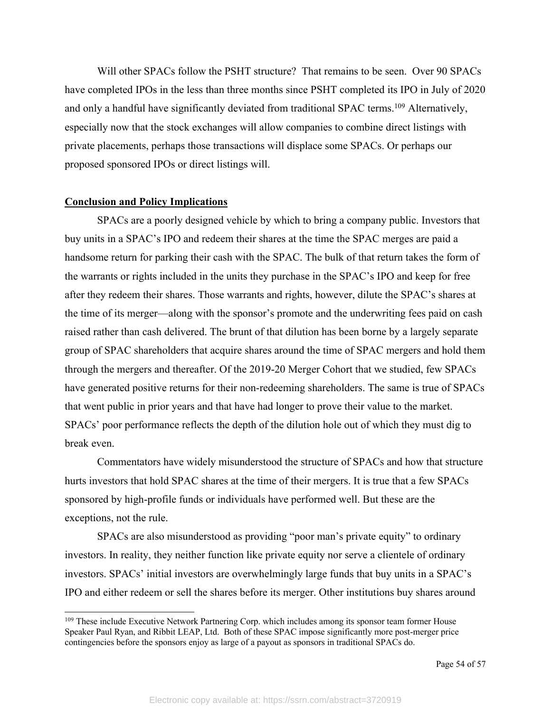Will other SPACs follow the PSHT structure? That remains to be seen. Over 90 SPACs have completed IPOs in the less than three months since PSHT completed its IPO in July of 2020 and only a handful have significantly deviated from traditional SPAC terms.<sup>109</sup> Alternatively, especially now that the stock exchanges will allow companies to combine direct listings with private placements, perhaps those transactions will displace some SPACs. Or perhaps our proposed sponsored IPOs or direct listings will.

#### **Conclusion and Policy Implications**

SPACs are a poorly designed vehicle by which to bring a company public. Investors that buy units in a SPAC's IPO and redeem their shares at the time the SPAC merges are paid a handsome return for parking their cash with the SPAC. The bulk of that return takes the form of the warrants or rights included in the units they purchase in the SPAC's IPO and keep for free after they redeem their shares. Those warrants and rights, however, dilute the SPAC's shares at the time of its merger—along with the sponsor's promote and the underwriting fees paid on cash raised rather than cash delivered. The brunt of that dilution has been borne by a largely separate group of SPAC shareholders that acquire shares around the time of SPAC mergers and hold them through the mergers and thereafter. Of the 2019-20 Merger Cohort that we studied, few SPACs have generated positive returns for their non-redeeming shareholders. The same is true of SPACs that went public in prior years and that have had longer to prove their value to the market. SPACs' poor performance reflects the depth of the dilution hole out of which they must dig to break even.

Commentators have widely misunderstood the structure of SPACs and how that structure hurts investors that hold SPAC shares at the time of their mergers. It is true that a few SPACs sponsored by high-profile funds or individuals have performed well. But these are the exceptions, not the rule.

SPACs are also misunderstood as providing "poor man's private equity" to ordinary investors. In reality, they neither function like private equity nor serve a clientele of ordinary investors. SPACs' initial investors are overwhelmingly large funds that buy units in a SPAC's IPO and either redeem or sell the shares before its merger. Other institutions buy shares around

<sup>&</sup>lt;sup>109</sup> These include Executive Network Partnering Corp. which includes among its sponsor team former House Speaker Paul Ryan, and Ribbit LEAP, Ltd. Both of these SPAC impose significantly more post-merger price contingencies before the sponsors enjoy as large of a payout as sponsors in traditional SPACs do.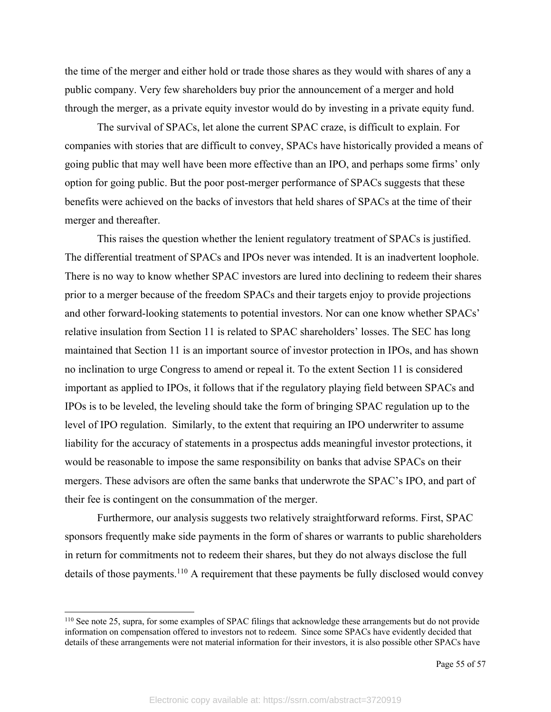the time of the merger and either hold or trade those shares as they would with shares of any a public company. Very few shareholders buy prior the announcement of a merger and hold through the merger, as a private equity investor would do by investing in a private equity fund.

The survival of SPACs, let alone the current SPAC craze, is difficult to explain. For companies with stories that are difficult to convey, SPACs have historically provided a means of going public that may well have been more effective than an IPO, and perhaps some firms' only option for going public. But the poor post-merger performance of SPACs suggests that these benefits were achieved on the backs of investors that held shares of SPACs at the time of their merger and thereafter.

This raises the question whether the lenient regulatory treatment of SPACs is justified. The differential treatment of SPACs and IPOs never was intended. It is an inadvertent loophole. There is no way to know whether SPAC investors are lured into declining to redeem their shares prior to a merger because of the freedom SPACs and their targets enjoy to provide projections and other forward-looking statements to potential investors. Nor can one know whether SPACs' relative insulation from Section 11 is related to SPAC shareholders' losses. The SEC has long maintained that Section 11 is an important source of investor protection in IPOs, and has shown no inclination to urge Congress to amend or repeal it. To the extent Section 11 is considered important as applied to IPOs, it follows that if the regulatory playing field between SPACs and IPOs is to be leveled, the leveling should take the form of bringing SPAC regulation up to the level of IPO regulation. Similarly, to the extent that requiring an IPO underwriter to assume liability for the accuracy of statements in a prospectus adds meaningful investor protections, it would be reasonable to impose the same responsibility on banks that advise SPACs on their mergers. These advisors are often the same banks that underwrote the SPAC's IPO, and part of their fee is contingent on the consummation of the merger.

Furthermore, our analysis suggests two relatively straightforward reforms. First, SPAC sponsors frequently make side payments in the form of shares or warrants to public shareholders in return for commitments not to redeem their shares, but they do not always disclose the full details of those payments.<sup>110</sup> A requirement that these payments be fully disclosed would convey

<sup>110</sup> See note 25, supra, for some examples of SPAC filings that acknowledge these arrangements but do not provide information on compensation offered to investors not to redeem. Since some SPACs have evidently decided that details of these arrangements were not material information for their investors, it is also possible other SPACs have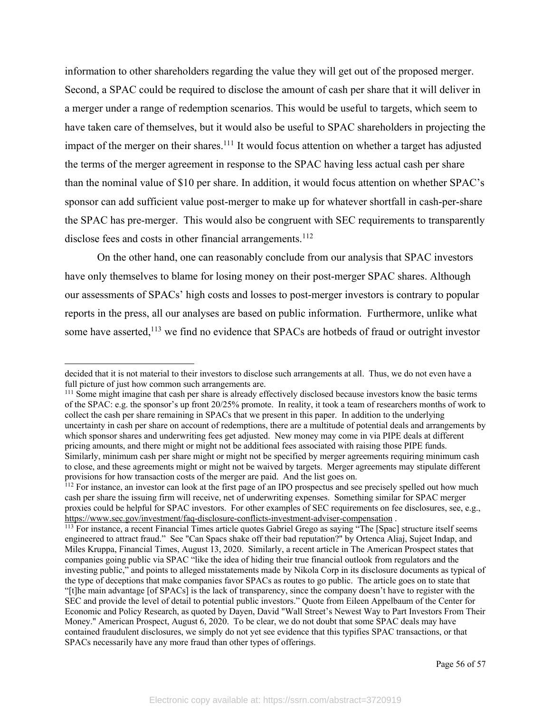information to other shareholders regarding the value they will get out of the proposed merger. Second, a SPAC could be required to disclose the amount of cash per share that it will deliver in a merger under a range of redemption scenarios. This would be useful to targets, which seem to have taken care of themselves, but it would also be useful to SPAC shareholders in projecting the impact of the merger on their shares.<sup>111</sup> It would focus attention on whether a target has adjusted the terms of the merger agreement in response to the SPAC having less actual cash per share than the nominal value of \$10 per share. In addition, it would focus attention on whether SPAC's sponsor can add sufficient value post-merger to make up for whatever shortfall in cash-per-share the SPAC has pre-merger. This would also be congruent with SEC requirements to transparently disclose fees and costs in other financial arrangements.<sup>112</sup>

On the other hand, one can reasonably conclude from our analysis that SPAC investors have only themselves to blame for losing money on their post-merger SPAC shares. Although our assessments of SPACs' high costs and losses to post-merger investors is contrary to popular reports in the press, all our analyses are based on public information. Furthermore, unlike what some have asserted,<sup>113</sup> we find no evidence that SPACs are hotbeds of fraud or outright investor

<sup>111</sup> Some might imagine that cash per share is already effectively disclosed because investors know the basic terms of the SPAC: e.g. the sponsor's up front 20/25% promote. In reality, it took a team of researchers months of work to collect the cash per share remaining in SPACs that we present in this paper. In addition to the underlying uncertainty in cash per share on account of redemptions, there are a multitude of potential deals and arrangements by which sponsor shares and underwriting fees get adjusted. New money may come in via PIPE deals at different pricing amounts, and there might or might not be additional fees associated with raising those PIPE funds. Similarly, minimum cash per share might or might not be specified by merger agreements requiring minimum cash to close, and these agreements might or might not be waived by targets. Merger agreements may stipulate different provisions for how transaction costs of the merger are paid. And the list goes on.

decided that it is not material to their investors to disclose such arrangements at all. Thus, we do not even have a full picture of just how common such arrangements are.

 $112$  For instance, an investor can look at the first page of an IPO prospectus and see precisely spelled out how much cash per share the issuing firm will receive, net of underwriting expenses. Something similar for SPAC merger proxies could be helpful for SPAC investors. For other examples of SEC requirements on fee disclosures, see, e.g., https://www.sec.gov/investment/faq-disclosure-conflicts-investment-adviser-compensation .

<sup>&</sup>lt;sup>113</sup> For instance, a recent Financial Times article quotes Gabriel Grego as saying "The [Spac] structure itself seems engineered to attract fraud." See "Can Spacs shake off their bad reputation?" by Ortenca Aliaj, Sujeet Indap, and Miles Kruppa, Financial Times, August 13, 2020. Similarly, a recent article in The American Prospect states that companies going public via SPAC "like the idea of hiding their true financial outlook from regulators and the investing public," and points to alleged misstatements made by Nikola Corp in its disclosure documents as typical of the type of deceptions that make companies favor SPACs as routes to go public. The article goes on to state that "[t]he main advantage [of SPACs] is the lack of transparency, since the company doesn't have to register with the SEC and provide the level of detail to potential public investors." Quote from Eileen Appelbaum of the Center for Economic and Policy Research, as quoted by Dayen, David "Wall Street's Newest Way to Part Investors From Their Money." American Prospect, August 6, 2020. To be clear, we do not doubt that some SPAC deals may have contained fraudulent disclosures, we simply do not yet see evidence that this typifies SPAC transactions, or that SPACs necessarily have any more fraud than other types of offerings.